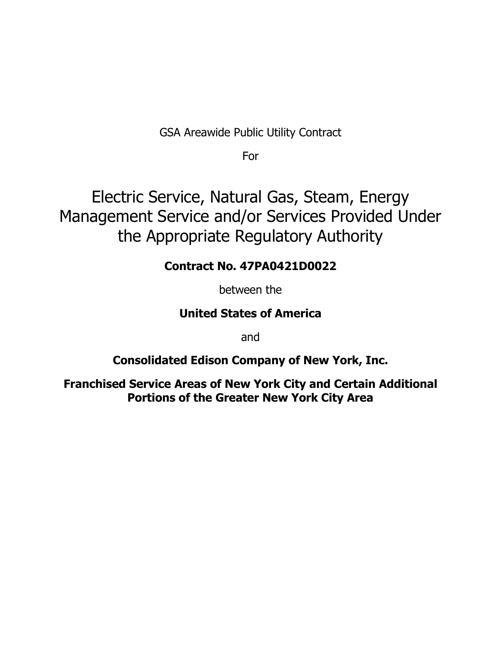GSA Areawide Public Utility Contract

For

Electric Service, Natural Gas, Steam, Energy Management Service and/or Services Provided Under the Appropriate Regulatory Authority

# **Contract No. 47PA0421D0022**

between the

# **United States of America**

and

# **Consolidated Edison Company of New York, Inc.**

**Franchised Service Areas of New York City and Certain Additional Portions of the Greater New York City Area**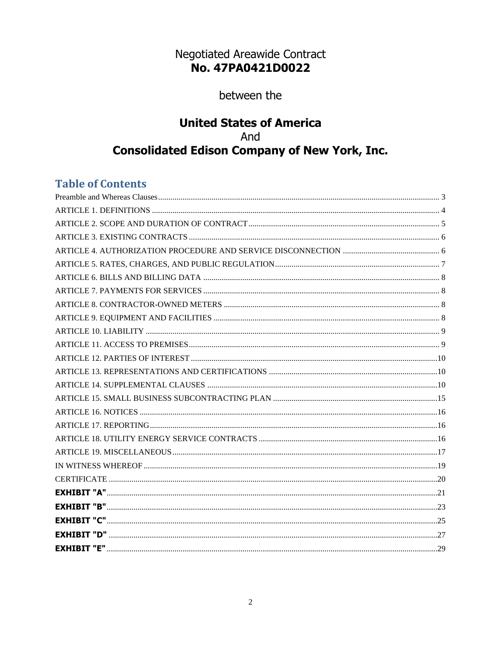# Negotiated Areawide Contract No. 47PA0421D0022

between the

# **United States of America** And **Consolidated Edison Company of New York, Inc.**

# **Table of Contents**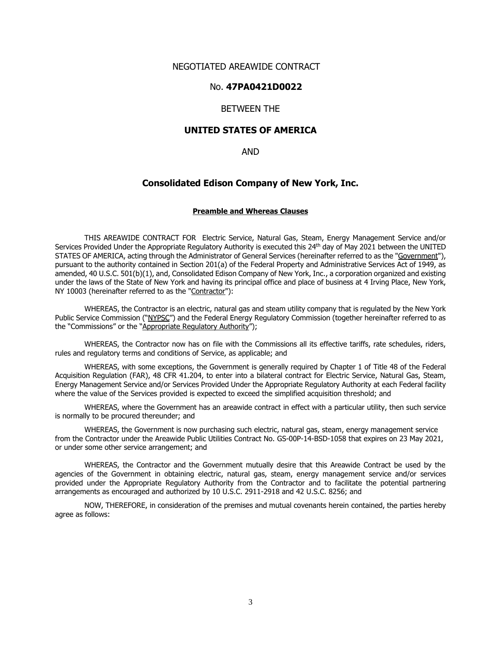# NEGOTIATED AREAWIDE CONTRACT

# No. **47PA0421D0022**

# BETWEEN THE

# **UNITED STATES OF AMERICA**

AND

#### **Consolidated Edison Company of New York, Inc.**

#### **Preamble and Whereas Clauses**

<span id="page-2-0"></span>THIS AREAWIDE CONTRACT FOR Electric Service, Natural Gas, Steam, Energy Management Service and/or Services Provided Under the Appropriate Regulatory Authority is executed this 24th day of May 2021 between the UNITED STATES OF AMERICA, acting through the Administrator of General Services (hereinafter referred to as the "Government"), pursuant to the authority contained in Section 201(a) of the Federal Property and Administrative Services Act of 1949, as amended, 40 U.S.C. 501(b)(1), and, Consolidated Edison Company of New York, Inc., a corporation organized and existing under the laws of the State of New York and having its principal office and place of business at 4 Irving Place, New York, NY 10003 (hereinafter referred to as the "Contractor"):

WHEREAS, the Contractor is an electric, natural gas and steam utility company that is regulated by the New York Public Service Commission ("NYPSC") and the Federal Energy Regulatory Commission (together hereinafter referred to as the "Commissions" or the "Appropriate Regulatory Authority");

WHEREAS, the Contractor now has on file with the Commissions all its effective tariffs, rate schedules, riders, rules and regulatory terms and conditions of Service, as applicable; and

WHEREAS, with some exceptions, the Government is generally required by Chapter 1 of Title 48 of the Federal Acquisition Regulation (FAR), 48 CFR 41.204, to enter into a bilateral contract for Electric Service, Natural Gas, Steam, Energy Management Service and/or Services Provided Under the Appropriate Regulatory Authority at each Federal facility where the value of the Services provided is expected to exceed the simplified acquisition threshold; and

WHEREAS, where the Government has an areawide contract in effect with a particular utility, then such service is normally to be procured thereunder; and

WHEREAS, the Government is now purchasing such electric, natural gas, steam, energy management service from the Contractor under the Areawide Public Utilities Contract No. GS-00P-14-BSD-1058 that expires on 23 May 2021, or under some other service arrangement; and

WHEREAS, the Contractor and the Government mutually desire that this Areawide Contract be used by the agencies of the Government in obtaining electric, natural gas, steam, energy management service and/or services provided under the Appropriate Regulatory Authority from the Contractor and to facilitate the potential partnering arrangements as encouraged and authorized by 10 U.S.C. 2911-2918 and 42 U.S.C. 8256; and

NOW, THEREFORE, in consideration of the premises and mutual covenants herein contained, the parties hereby agree as follows: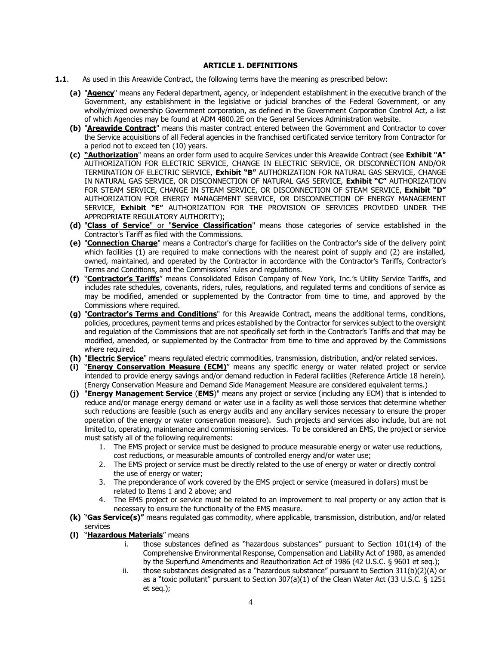#### **ARTICLE 1. DEFINITIONS**

- <span id="page-3-0"></span>**1.1**. As used in this Areawide Contract, the following terms have the meaning as prescribed below:
	- **(a)** "**Agency**" means any Federal department, agency, or independent establishment in the executive branch of the Government, any establishment in the legislative or judicial branches of the Federal Government, or any wholly/mixed ownership Government corporation, as defined in the Government Corporation Control Act, a list of which Agencies may be found at ADM 4800.2E on the General Services Administration website.
	- **(b)** "**Areawide Contract**" means this master contract entered between the Government and Contractor to cover the Service acquisitions of all Federal agencies in the franchised certificated service territory from Contractor for a period not to exceed ten (10) years.
	- **(c) "Authorization**" means an order form used to acquire Services under this Areawide Contract (see **Exhibit "A"** AUTHORIZATION FOR ELECTRIC SERVICE, CHANGE IN ELECTRIC SERVICE, OR DISCONNECTION AND/OR TERMINATION OF ELECTRIC SERVICE, **Exhibit "B"** AUTHORIZATION FOR NATURAL GAS SERVICE, CHANGE IN NATURAL GAS SERVICE, OR DISCONNECTION OF NATURAL GAS SERVICE, **Exhibit "C"** AUTHORIZATION FOR STEAM SERVICE, CHANGE IN STEAM SERVICE, OR DISCONNECTION OF STEAM SERVICE, **Exhibit "D"** AUTHORIZATION FOR ENERGY MANAGEMENT SERVICE, OR DISCONNECTION OF ENERGY MANAGEMENT SERVICE, **Exhibit "E"** AUTHORIZATION FOR THE PROVISION OF SERVICES PROVIDED UNDER THE APPROPRIATE REGULATORY AUTHORITY);
	- **(d)** "**Class of Service**" or "**Service Classification**" means those categories of service established in the Contractor's Tariff as filed with the Commissions.
	- **(e)** "**Connection Charge**" means a Contractor's charge for facilities on the Contractor's side of the delivery point which facilities (1) are required to make connections with the nearest point of supply and (2) are installed, owned, maintained, and operated by the Contractor in accordance with the Contractor's Tariffs, Contractor's Terms and Conditions, and the Commissions' rules and regulations.
	- **(f)** "**Contractor's Tariffs**" means Consolidated Edison Company of New York, Inc.'s Utility Service Tariffs, and includes rate schedules, covenants, riders, rules, regulations, and regulated terms and conditions of service as may be modified, amended or supplemented by the Contractor from time to time, and approved by the Commissions where required.
	- **(g)** "**Contractor's Terms and Conditions**" for this Areawide Contract, means the additional terms, conditions, policies, procedures, payment terms and prices established by the Contractor for services subject to the oversight and regulation of the Commissions that are not specifically set forth in the Contractor's Tariffs and that may be modified, amended, or supplemented by the Contractor from time to time and approved by the Commissions where required.
	- **(h)** "**Electric Service**" means regulated electric commodities, transmission, distribution, and/or related services.
	- **(i)** "**Energy Conservation Measure (ECM)**" means any specific energy or water related project or service intended to provide energy savings and/or demand reduction in Federal facilities (Reference Article 18 herein). (Energy Conservation Measure and Demand Side Management Measure are considered equivalent terms.)
	- **(j)** "**Energy Management Service** (**EMS**)" means any project or service (including any ECM) that is intended to reduce and/or manage energy demand or water use in a facility as well those services that determine whether such reductions are feasible (such as energy audits and any ancillary services necessary to ensure the proper operation of the energy or water conservation measure). Such projects and services also include, but are not limited to, operating, maintenance and commissioning services. To be considered an EMS, the project or service must satisfy all of the following requirements:
		- 1. The EMS project or service must be designed to produce measurable energy or water use reductions, cost reductions, or measurable amounts of controlled energy and/or water use;
		- 2. The EMS project or service must be directly related to the use of energy or water or directly control the use of energy or water;
		- 3. The preponderance of work covered by the EMS project or service (measured in dollars) must be related to Items 1 and 2 above; and
		- 4. The EMS project or service must be related to an improvement to real property or any action that is necessary to ensure the functionality of the EMS measure.
	- **(k)** "**Gas Service(s)"** means regulated gas commodity, where applicable, transmission, distribution, and/or related services
	- **(l)** "**Hazardous Materials**" means
		- i. those substances defined as "hazardous substances" pursuant to Section 101(14) of the Comprehensive Environmental Response, Compensation and Liability Act of 1980, as amended by the Superfund Amendments and Reauthorization Act of 1986 (42 U.S.C. § 9601 et seq.);
		- ii. those substances designated as a "hazardous substance" pursuant to Section 311(b)(2)(A) or as a "toxic pollutant" pursuant to Section 307(a)(1) of the Clean Water Act (33 U.S.C. § 1251 et seq.);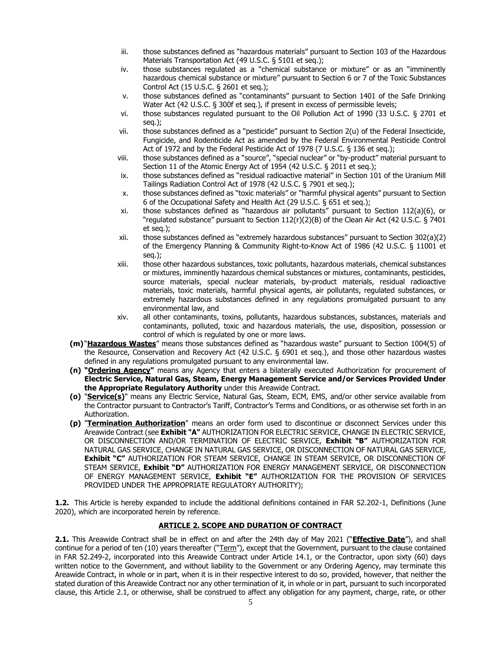- iii. those substances defined as "hazardous materials" pursuant to Section 103 of the Hazardous Materials Transportation Act (49 U.S.C. § 5101 et seq.);
- iv. those substances regulated as a "chemical substance or mixture" or as an "imminently hazardous chemical substance or mixture" pursuant to Section 6 or 7 of the Toxic Substances Control Act (15 U.S.C. § 2601 et seq.);
- v. those substances defined as "contaminants" pursuant to Section 1401 of the Safe Drinking Water Act (42 U.S.C. § 300f et seq.), if present in excess of permissible levels;
- vi. those substances regulated pursuant to the Oil Pollution Act of 1990 (33 U.S.C. § 2701 et seq.);
- vii. those substances defined as a "pesticide" pursuant to Section 2(u) of the Federal Insecticide, Fungicide, and Rodenticide Act as amended by the Federal Environmental Pesticide Control Act of 1972 and by the Federal Pesticide Act of 1978 (7 U.S.C. § 136 et seq.);
- viii. those substances defined as a "source", "special nuclear" or "by-product" material pursuant to Section 11 of the Atomic Energy Act of 1954 (42 U.S.C. § 2011 et seq.);
- ix. those substances defined as "residual radioactive material" in Section 101 of the Uranium Mill Tailings Radiation Control Act of 1978 (42 U.S.C. § 7901 et seq.);
- x. those substances defined as "toxic materials" or "harmful physical agents" pursuant to Section 6 of the Occupational Safety and Health Act (29 U.S.C. § 651 et seq.);
- xi. those substances defined as "hazardous air pollutants" pursuant to Section 112(a)(6), or "regulated substance" pursuant to Section 112(r)(2)(B) of the Clean Air Act (42 U.S.C. § 7401 et seq.);
- xii. those substances defined as "extremely hazardous substances" pursuant to Section 302(a)(2) of the Emergency Planning & Community Right-to-Know Act of 1986 (42 U.S.C. § 11001 et seq.);
- xiii. those other hazardous substances, toxic pollutants, hazardous materials, chemical substances or mixtures, imminently hazardous chemical substances or mixtures, contaminants, pesticides, source materials, special nuclear materials, by-product materials, residual radioactive materials, toxic materials, harmful physical agents, air pollutants, regulated substances, or extremely hazardous substances defined in any regulations promulgated pursuant to any environmental law, and
- xiv. all other contaminants, toxins, pollutants, hazardous substances, substances, materials and contaminants, polluted, toxic and hazardous materials, the use, disposition, possession or control of which is regulated by one or more laws.
- **(m)** "**Hazardous Wastes**" means those substances defined as "hazardous waste" pursuant to Section 1004(5) of the Resource, Conservation and Recovery Act (42 U.S.C. § 6901 et seq.), and those other hazardous wastes defined in any regulations promulgated pursuant to any environmental law.
- **(n) "Ordering Agency"** means any Agency that enters a bilaterally executed Authorization for procurement of **Electric Service, Natural Gas, Steam, Energy Management Service and/or Services Provided Under the Appropriate Regulatory Authority** under this Areawide Contract.
- **(o)** "**Service(s)**" means any Electric Service, Natural Gas, Steam, ECM, EMS, and/or other service available from the Contractor pursuant to Contractor's Tariff, Contractor's Terms and Conditions, or as otherwise set forth in an Authorization.
- **(p)** "**Termination Authorization**" means an order form used to discontinue or disconnect Services under this Areawide Contract (see **Exhibit "A"** AUTHORIZATION FOR ELECTRIC SERVICE, CHANGE IN ELECTRIC SERVICE, OR DISCONNECTION AND/OR TERMINATION OF ELECTRIC SERVICE, **Exhibit "B"** AUTHORIZATION FOR NATURAL GAS SERVICE, CHANGE IN NATURAL GAS SERVICE, OR DISCONNECTION OF NATURAL GAS SERVICE, **Exhibit "C"** AUTHORIZATION FOR STEAM SERVICE, CHANGE IN STEAM SERVICE, OR DISCONNECTION OF STEAM SERVICE, **Exhibit "D"** AUTHORIZATION FOR ENERGY MANAGEMENT SERVICE, OR DISCONNECTION OF ENERGY MANAGEMENT SERVICE, **Exhibit "E"** AUTHORIZATION FOR THE PROVISION OF SERVICES PROVIDED UNDER THE APPROPRIATE REGULATORY AUTHORITY);

**1.2.** This Article is hereby expanded to include the additional definitions contained in FAR 52.202-1, Definitions (June 2020), which are incorporated herein by reference.

# **ARTICLE 2. SCOPE AND DURATION OF CONTRACT**

<span id="page-4-0"></span>**2.1.** This Areawide Contract shall be in effect on and after the 24th day of May 2021 ("**Effective Date**"), and shall continue for a period of ten (10) years thereafter ("Term"), except that the Government, pursuant to the clause contained in FAR 52.249-2, incorporated into this Areawide Contract under Article 14.1, or the Contractor, upon sixty (60) days written notice to the Government, and without liability to the Government or any Ordering Agency, may terminate this Areawide Contract, in whole or in part, when it is in their respective interest to do so, provided, however, that neither the stated duration of this Areawide Contract nor any other termination of it, in whole or in part, pursuant to such incorporated clause, this Article 2.1, or otherwise, shall be construed to affect any obligation for any payment, charge, rate, or other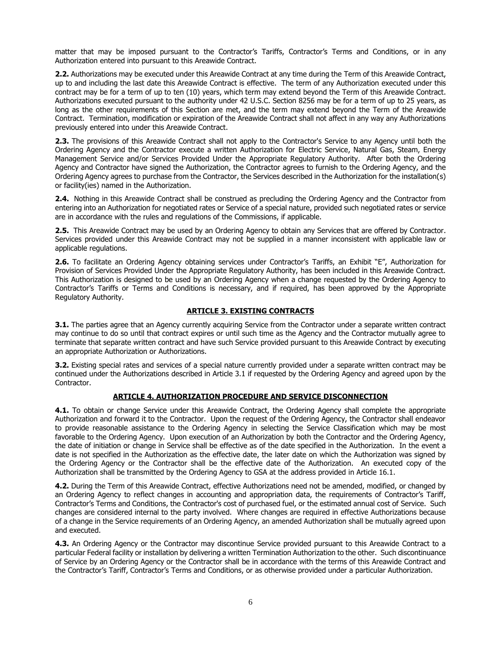matter that may be imposed pursuant to the Contractor's Tariffs, Contractor's Terms and Conditions, or in any Authorization entered into pursuant to this Areawide Contract.

**2.2.** Authorizations may be executed under this Areawide Contract at any time during the Term of this Areawide Contract, up to and including the last date this Areawide Contract is effective. The term of any Authorization executed under this contract may be for a term of up to ten (10) years, which term may extend beyond the Term of this Areawide Contract. Authorizations executed pursuant to the authority under 42 U.S.C. Section 8256 may be for a term of up to 25 years, as long as the other requirements of this Section are met, and the term may extend beyond the Term of the Areawide Contract. Termination, modification or expiration of the Areawide Contract shall not affect in any way any Authorizations previously entered into under this Areawide Contract.

**2.3.** The provisions of this Areawide Contract shall not apply to the Contractor's Service to any Agency until both the Ordering Agency and the Contractor execute a written Authorization for Electric Service, Natural Gas, Steam, Energy Management Service and/or Services Provided Under the Appropriate Regulatory Authority. After both the Ordering Agency and Contractor have signed the Authorization, the Contractor agrees to furnish to the Ordering Agency, and the Ordering Agency agrees to purchase from the Contractor, the Services described in the Authorization for the installation(s) or facility(ies) named in the Authorization.

**2.4.** Nothing in this Areawide Contract shall be construed as precluding the Ordering Agency and the Contractor from entering into an Authorization for negotiated rates or Service of a special nature, provided such negotiated rates or service are in accordance with the rules and regulations of the Commissions, if applicable.

**2.5.** This Areawide Contract may be used by an Ordering Agency to obtain any Services that are offered by Contractor. Services provided under this Areawide Contract may not be supplied in a manner inconsistent with applicable law or applicable regulations.

**2.6.** To facilitate an Ordering Agency obtaining services under Contractor's Tariffs, an Exhibit "E", Authorization for Provision of Services Provided Under the Appropriate Regulatory Authority, has been included in this Areawide Contract. This Authorization is designed to be used by an Ordering Agency when a change requested by the Ordering Agency to Contractor's Tariffs or Terms and Conditions is necessary, and if required, has been approved by the Appropriate Regulatory Authority.

# **ARTICLE 3. EXISTING CONTRACTS**

<span id="page-5-0"></span>**3.1.** The parties agree that an Agency currently acquiring Service from the Contractor under a separate written contract may continue to do so until that contract expires or until such time as the Agency and the Contractor mutually agree to terminate that separate written contract and have such Service provided pursuant to this Areawide Contract by executing an appropriate Authorization or Authorizations.

**3.2.** Existing special rates and services of a special nature currently provided under a separate written contract may be continued under the Authorizations described in Article 3.1 if requested by the Ordering Agency and agreed upon by the Contractor.

### **ARTICLE 4. AUTHORIZATION PROCEDURE AND SERVICE DISCONNECTION**

<span id="page-5-1"></span>**4.1.** To obtain or change Service under this Areawide Contract, the Ordering Agency shall complete the appropriate Authorization and forward it to the Contractor. Upon the request of the Ordering Agency, the Contractor shall endeavor to provide reasonable assistance to the Ordering Agency in selecting the Service Classification which may be most favorable to the Ordering Agency. Upon execution of an Authorization by both the Contractor and the Ordering Agency, the date of initiation or change in Service shall be effective as of the date specified in the Authorization. In the event a date is not specified in the Authorization as the effective date, the later date on which the Authorization was signed by the Ordering Agency or the Contractor shall be the effective date of the Authorization. An executed copy of the Authorization shall be transmitted by the Ordering Agency to GSA at the address provided in Article 16.1.

**4.2.** During the Term of this Areawide Contract, effective Authorizations need not be amended, modified, or changed by an Ordering Agency to reflect changes in accounting and appropriation data, the requirements of Contractor's Tariff, Contractor's Terms and Conditions, the Contractor's cost of purchased fuel, or the estimated annual cost of Service. Such changes are considered internal to the party involved. Where changes are required in effective Authorizations because of a change in the Service requirements of an Ordering Agency, an amended Authorization shall be mutually agreed upon and executed.

**4.3.** An Ordering Agency or the Contractor may discontinue Service provided pursuant to this Areawide Contract to a particular Federal facility or installation by delivering a written Termination Authorization to the other. Such discontinuance of Service by an Ordering Agency or the Contractor shall be in accordance with the terms of this Areawide Contract and the Contractor's Tariff, Contractor's Terms and Conditions, or as otherwise provided under a particular Authorization.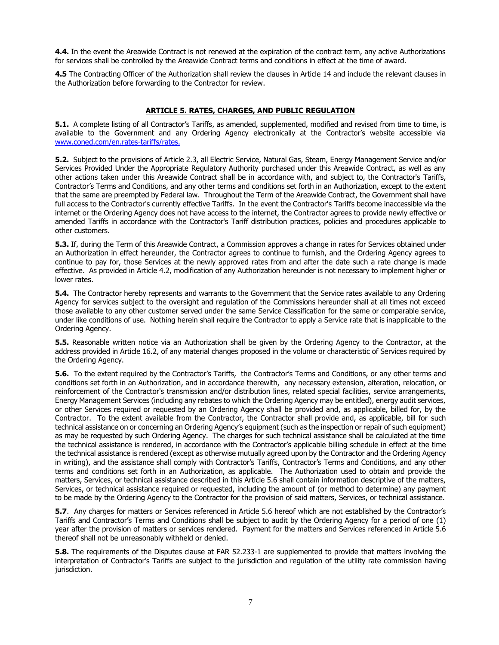**4.4.** In the event the Areawide Contract is not renewed at the expiration of the contract term, any active Authorizations for services shall be controlled by the Areawide Contract terms and conditions in effect at the time of award.

**4.5** The Contracting Officer of the Authorization shall review the clauses in Article 14 and include the relevant clauses in the Authorization before forwarding to the Contractor for review.

# **ARTICLE 5. RATES, CHARGES, AND PUBLIC REGULATION**

<span id="page-6-0"></span>**5.1.** A complete listing of all Contractor's Tariffs, as amended, supplemented, modified and revised from time to time, is available to the Government and any Ordering Agency electronically at the Contractor's website accessible via [www.coned.com/en.rates-tariffs/rates.](http://www.coned.com/en.rates-tariffs/rates)

**5.2.** Subject to the provisions of Article 2.3, all Electric Service, Natural Gas, Steam, Energy Management Service and/or Services Provided Under the Appropriate Regulatory Authority purchased under this Areawide Contract, as well as any other actions taken under this Areawide Contract shall be in accordance with, and subject to, the Contractor's Tariffs, Contractor's Terms and Conditions, and any other terms and conditions set forth in an Authorization, except to the extent that the same are preempted by Federal law. Throughout the Term of the Areawide Contract, the Government shall have full access to the Contractor's currently effective Tariffs. In the event the Contractor's Tariffs become inaccessible via the internet or the Ordering Agency does not have access to the internet, the Contractor agrees to provide newly effective or amended Tariffs in accordance with the Contractor's Tariff distribution practices, policies and procedures applicable to other customers.

**5.3.** If, during the Term of this Areawide Contract, a Commission approves a change in rates for Services obtained under an Authorization in effect hereunder, the Contractor agrees to continue to furnish, and the Ordering Agency agrees to continue to pay for, those Services at the newly approved rates from and after the date such a rate change is made effective. As provided in Article 4.2, modification of any Authorization hereunder is not necessary to implement higher or lower rates.

**5.4.** The Contractor hereby represents and warrants to the Government that the Service rates available to any Ordering Agency for services subject to the oversight and regulation of the Commissions hereunder shall at all times not exceed those available to any other customer served under the same Service Classification for the same or comparable service, under like conditions of use. Nothing herein shall require the Contractor to apply a Service rate that is inapplicable to the Ordering Agency.

**5.5.** Reasonable written notice via an Authorization shall be given by the Ordering Agency to the Contractor, at the address provided in Article 16.2, of any material changes proposed in the volume or characteristic of Services required by the Ordering Agency.

**5.6.** To the extent required by the Contractor's Tariffs, the Contractor's Terms and Conditions, or any other terms and conditions set forth in an Authorization, and in accordance therewith, any necessary extension, alteration, relocation, or reinforcement of the Contractor's transmission and/or distribution lines, related special facilities, service arrangements, Energy Management Services (including any rebates to which the Ordering Agency may be entitled), energy audit services, or other Services required or requested by an Ordering Agency shall be provided and, as applicable, billed for, by the Contractor. To the extent available from the Contractor, the Contractor shall provide and, as applicable, bill for such technical assistance on or concerning an Ordering Agency's equipment (such as the inspection or repair of such equipment) as may be requested by such Ordering Agency. The charges for such technical assistance shall be calculated at the time the technical assistance is rendered, in accordance with the Contractor's applicable billing schedule in effect at the time the technical assistance is rendered (except as otherwise mutually agreed upon by the Contractor and the Ordering Agency in writing), and the assistance shall comply with Contractor's Tariffs, Contractor's Terms and Conditions, and any other terms and conditions set forth in an Authorization, as applicable. The Authorization used to obtain and provide the matters, Services, or technical assistance described in this Article 5.6 shall contain information descriptive of the matters, Services, or technical assistance required or requested, including the amount of (or method to determine) any payment to be made by the Ordering Agency to the Contractor for the provision of said matters, Services, or technical assistance.

**5.7**. Any charges for matters or Services referenced in Article 5.6 hereof which are not established by the Contractor's Tariffs and Contractor's Terms and Conditions shall be subject to audit by the Ordering Agency for a period of one (1) year after the provision of matters or services rendered. Payment for the matters and Services referenced in Article 5.6 thereof shall not be unreasonably withheld or denied.

**5.8.** The requirements of the Disputes clause at FAR 52.233-1 are supplemented to provide that matters involving the interpretation of Contractor's Tariffs are subject to the jurisdiction and regulation of the utility rate commission having jurisdiction.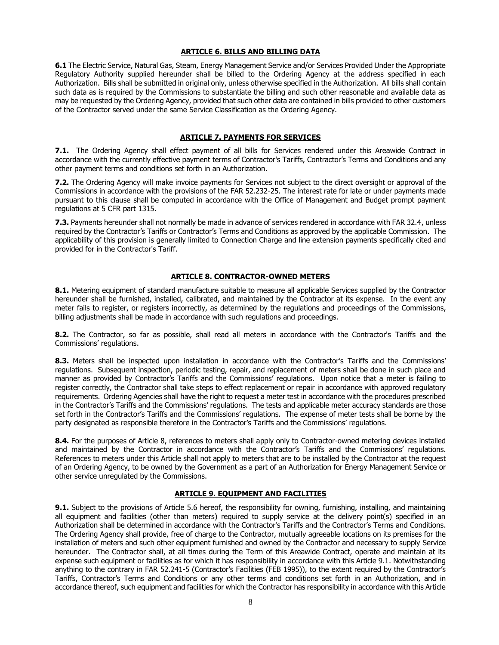#### **ARTICLE 6. BILLS AND BILLING DATA**

<span id="page-7-0"></span>**6.1** The Electric Service, Natural Gas, Steam, Energy Management Service and/or Services Provided Under the Appropriate Regulatory Authority supplied hereunder shall be billed to the Ordering Agency at the address specified in each Authorization. Bills shall be submitted in original only, unless otherwise specified in the Authorization. All bills shall contain such data as is required by the Commissions to substantiate the billing and such other reasonable and available data as may be requested by the Ordering Agency, provided that such other data are contained in bills provided to other customers of the Contractor served under the same Service Classification as the Ordering Agency.

#### **ARTICLE 7. PAYMENTS FOR SERVICES**

<span id="page-7-1"></span>**7.1.** The Ordering Agency shall effect payment of all bills for Services rendered under this Areawide Contract in accordance with the currently effective payment terms of Contractor's Tariffs, Contractor's Terms and Conditions and any other payment terms and conditions set forth in an Authorization.

**7.2.** The Ordering Agency will make invoice payments for Services not subject to the direct oversight or approval of the Commissions in accordance with the provisions of the FAR 52.232-25. The interest rate for late or under payments made pursuant to this clause shall be computed in accordance with the Office of Management and Budget prompt payment regulations at 5 CFR part 1315.

**7.3.** Payments hereunder shall not normally be made in advance of services rendered in accordance with FAR 32.4, unless required by the Contractor's Tariffs or Contractor's Terms and Conditions as approved by the applicable Commission. The applicability of this provision is generally limited to Connection Charge and line extension payments specifically cited and provided for in the Contractor's Tariff.

#### **ARTICLE 8. CONTRACTOR-OWNED METERS**

<span id="page-7-2"></span>**8.1.** Metering equipment of standard manufacture suitable to measure all applicable Services supplied by the Contractor hereunder shall be furnished, installed, calibrated, and maintained by the Contractor at its expense. In the event any meter fails to register, or registers incorrectly, as determined by the regulations and proceedings of the Commissions, billing adjustments shall be made in accordance with such regulations and proceedings.

**8.2.** The Contractor, so far as possible, shall read all meters in accordance with the Contractor's Tariffs and the Commissions' regulations.

**8.3.** Meters shall be inspected upon installation in accordance with the Contractor's Tariffs and the Commissions' regulations. Subsequent inspection, periodic testing, repair, and replacement of meters shall be done in such place and manner as provided by Contractor's Tariffs and the Commissions' regulations. Upon notice that a meter is failing to register correctly, the Contractor shall take steps to effect replacement or repair in accordance with approved regulatory requirements. Ordering Agencies shall have the right to request a meter test in accordance with the procedures prescribed in the Contractor's Tariffs and the Commissions' regulations. The tests and applicable meter accuracy standards are those set forth in the Contractor's Tariffs and the Commissions' regulations. The expense of meter tests shall be borne by the party designated as responsible therefore in the Contractor's Tariffs and the Commissions' regulations.

**8.4.** For the purposes of Article 8, references to meters shall apply only to Contractor-owned metering devices installed and maintained by the Contractor in accordance with the Contractor's Tariffs and the Commissions' regulations. References to meters under this Article shall not apply to meters that are to be installed by the Contractor at the request of an Ordering Agency, to be owned by the Government as a part of an Authorization for Energy Management Service or other service unregulated by the Commissions.

#### **ARTICLE 9. EQUIPMENT AND FACILITIES**

<span id="page-7-3"></span>**9.1.** Subject to the provisions of Article 5.6 hereof, the responsibility for owning, furnishing, installing, and maintaining all equipment and facilities (other than meters) required to supply service at the delivery point(s) specified in an Authorization shall be determined in accordance with the Contractor's Tariffs and the Contractor's Terms and Conditions. The Ordering Agency shall provide, free of charge to the Contractor, mutually agreeable locations on its premises for the installation of meters and such other equipment furnished and owned by the Contractor and necessary to supply Service hereunder. The Contractor shall, at all times during the Term of this Areawide Contract, operate and maintain at its expense such equipment or facilities as for which it has responsibility in accordance with this Article 9.1. Notwithstanding anything to the contrary in FAR 52.241-5 (Contractor's Facilities (FEB 1995)), to the extent required by the Contractor's Tariffs, Contractor's Terms and Conditions or any other terms and conditions set forth in an Authorization, and in accordance thereof, such equipment and facilities for which the Contractor has responsibility in accordance with this Article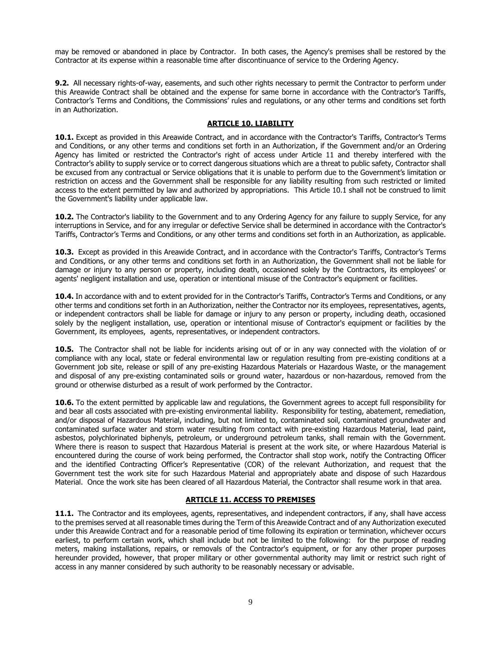may be removed or abandoned in place by Contractor. In both cases, the Agency's premises shall be restored by the Contractor at its expense within a reasonable time after discontinuance of service to the Ordering Agency.

**9.2.** All necessary rights-of-way, easements, and such other rights necessary to permit the Contractor to perform under this Areawide Contract shall be obtained and the expense for same borne in accordance with the Contractor's Tariffs, Contractor's Terms and Conditions, the Commissions' rules and regulations, or any other terms and conditions set forth in an Authorization.

# **ARTICLE 10. LIABILITY**

<span id="page-8-0"></span>**10.1.** Except as provided in this Areawide Contract, and in accordance with the Contractor's Tariffs, Contractor's Terms and Conditions, or any other terms and conditions set forth in an Authorization, if the Government and/or an Ordering Agency has limited or restricted the Contractor's right of access under Article 11 and thereby interfered with the Contractor's ability to supply service or to correct dangerous situations which are a threat to public safety, Contractor shall be excused from any contractual or Service obligations that it is unable to perform due to the Government's limitation or restriction on access and the Government shall be responsible for any liability resulting from such restricted or limited access to the extent permitted by law and authorized by appropriations. This Article 10.1 shall not be construed to limit the Government's liability under applicable law.

**10.2.** The Contractor's liability to the Government and to any Ordering Agency for any failure to supply Service, for any interruptions in Service, and for any irregular or defective Service shall be determined in accordance with the Contractor's Tariffs, Contractor's Terms and Conditions, or any other terms and conditions set forth in an Authorization, as applicable.

**10.3.** Except as provided in this Areawide Contract, and in accordance with the Contractor's Tariffs, Contractor's Terms and Conditions, or any other terms and conditions set forth in an Authorization, the Government shall not be liable for damage or injury to any person or property, including death, occasioned solely by the Contractors, its employees' or agents' negligent installation and use, operation or intentional misuse of the Contractor's equipment or facilities.

**10.4.** In accordance with and to extent provided for in the Contractor's Tariffs, Contractor's Terms and Conditions, or any other terms and conditions set forth in an Authorization, neither the Contractor nor its employees, representatives, agents, or independent contractors shall be liable for damage or injury to any person or property, including death, occasioned solely by the negligent installation, use, operation or intentional misuse of Contractor's equipment or facilities by the Government, its employees, agents, representatives, or independent contractors.

**10.5.** The Contractor shall not be liable for incidents arising out of or in any way connected with the violation of or compliance with any local, state or federal environmental law or regulation resulting from pre-existing conditions at a Government job site, release or spill of any pre-existing Hazardous Materials or Hazardous Waste, or the management and disposal of any pre-existing contaminated soils or ground water, hazardous or non-hazardous, removed from the ground or otherwise disturbed as a result of work performed by the Contractor.

**10.6.** To the extent permitted by applicable law and regulations, the Government agrees to accept full responsibility for and bear all costs associated with pre-existing environmental liability. Responsibility for testing, abatement, remediation, and/or disposal of Hazardous Material, including, but not limited to, contaminated soil, contaminated groundwater and contaminated surface water and storm water resulting from contact with pre-existing Hazardous Material, lead paint, asbestos, polychlorinated biphenyls, petroleum, or underground petroleum tanks, shall remain with the Government. Where there is reason to suspect that Hazardous Material is present at the work site, or where Hazardous Material is encountered during the course of work being performed, the Contractor shall stop work, notify the Contracting Officer and the identified Contracting Officer's Representative (COR) of the relevant Authorization, and request that the Government test the work site for such Hazardous Material and appropriately abate and dispose of such Hazardous Material. Once the work site has been cleared of all Hazardous Material, the Contractor shall resume work in that area.

### **ARTICLE 11. ACCESS TO PREMISES**

<span id="page-8-1"></span>**11.1.** The Contractor and its employees, agents, representatives, and independent contractors, if any, shall have access to the premises served at all reasonable times during the Term of this Areawide Contract and of any Authorization executed under this Areawide Contract and for a reasonable period of time following its expiration or termination, whichever occurs earliest, to perform certain work, which shall include but not be limited to the following: for the purpose of reading meters, making installations, repairs, or removals of the Contractor's equipment, or for any other proper purposes hereunder provided, however, that proper military or other governmental authority may limit or restrict such right of access in any manner considered by such authority to be reasonably necessary or advisable.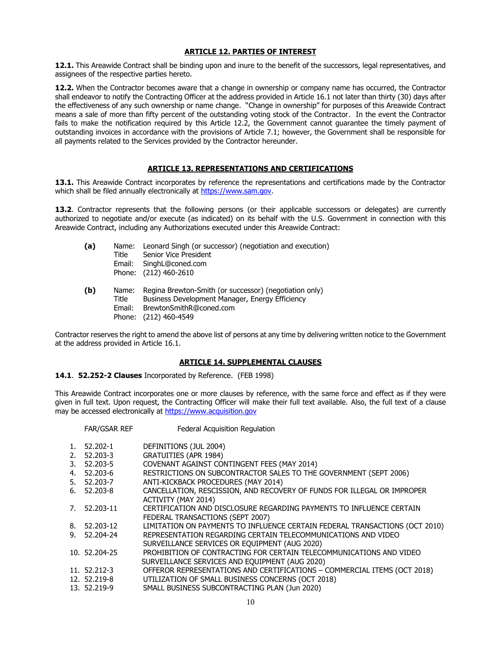# **ARTICLE 12. PARTIES OF INTEREST**

<span id="page-9-0"></span>**12.1.** This Areawide Contract shall be binding upon and inure to the benefit of the successors, legal representatives, and assignees of the respective parties hereto.

**12.2.** When the Contractor becomes aware that a change in ownership or company name has occurred, the Contractor shall endeavor to notify the Contracting Officer at the address provided in Article 16.1 not later than thirty (30) days after the effectiveness of any such ownership or name change. "Change in ownership" for purposes of this Areawide Contract means a sale of more than fifty percent of the outstanding voting stock of the Contractor. In the event the Contractor fails to make the notification required by this Article 12.2, the Government cannot guarantee the timely payment of outstanding invoices in accordance with the provisions of Article 7.1; however, the Government shall be responsible for all payments related to the Services provided by the Contractor hereunder.

# **ARTICLE 13. REPRESENTATIONS AND CERTIFICATIONS**

<span id="page-9-1"></span>**13.1.** This Areawide Contract incorporates by reference the representations and certifications made by the Contractor which shall be filed annually electronically at [https://www.sam.gov.](https://www.sam.gov/)

**13.2**. Contractor represents that the following persons (or their applicable successors or delegates) are currently authorized to negotiate and/or execute (as indicated) on its behalf with the U.S. Government in connection with this Areawide Contract, including any Authorizations executed under this Areawide Contract:

| (a) | Title | Name: Leonard Singh (or successor) (negotiation and execution)<br>Senior Vice President<br>Email: SinghL@coned.com<br>Phone: (212) 460-2610 |
|-----|-------|---------------------------------------------------------------------------------------------------------------------------------------------|
| 7h) | Namo: | $Dogino$ $Brouton$ - $Cmith$ (or successor) (negatiation only)                                                                              |

**(b)** Name: Regina Brewton-Smith (or successor) (negotiation only) Title Business Development Manager, Energy Efficiency Email: BrewtonSmithR@coned.com Phone: (212) 460-4549

Contractor reserves the right to amend the above list of persons at any time by delivering written notice to the Government at the address provided in Article 16.1.

### **ARTICLE 14. SUPPLEMENTAL CLAUSES**

### <span id="page-9-2"></span>**14.1**. **52.252-2 Clauses** Incorporated by Reference. (FEB 1998)

This Areawide Contract incorporates one or more clauses by reference, with the same force and effect as if they were given in full text. Upon request, the Contracting Officer will make their full text available. Also, the full text of a clause may be accessed electronically at [https://www.acquisition.gov](https://www.acquisition.gov/)

|    | FAR/GSAR REF  | <b>Federal Acquisition Regulation</b>                                       |
|----|---------------|-----------------------------------------------------------------------------|
| 1. | 52.202-1      | DEFINITIONS (JUL 2004)                                                      |
|    | 2. 52.203-3   | <b>GRATUITIES (APR 1984)</b>                                                |
|    | 3. 52.203-5   | COVENANT AGAINST CONTINGENT FEES (MAY 2014)                                 |
|    | 4. 52.203-6   | RESTRICTIONS ON SUBCONTRACTOR SALES TO THE GOVERNMENT (SEPT 2006)           |
|    | 5. 52.203-7   | ANTI-KICKBACK PROCEDURES (MAY 2014)                                         |
| 6. | 52.203-8      | CANCELLATION, RESCISSION, AND RECOVERY OF FUNDS FOR ILLEGAL OR IMPROPER     |
|    |               | ACTIVITY (MAY 2014)                                                         |
| 7. | 52.203-11     | CERTIFICATION AND DISCLOSURE REGARDING PAYMENTS TO INFLUENCE CERTAIN        |
|    |               | FEDERAL TRANSACTIONS (SEPT 2007)                                            |
|    | 8. 52.203-12  | LIMITATION ON PAYMENTS TO INFLUENCE CERTAIN FEDERAL TRANSACTIONS (OCT 2010) |
|    | 9. 52.204-24  | REPRESENTATION REGARDING CERTAIN TELECOMMUNICATIONS AND VIDEO               |
|    |               | SURVEILLANCE SERVICES OR EQUIPMENT (AUG 2020)                               |
|    | 10. 52.204-25 | PROHIBITION OF CONTRACTING FOR CERTAIN TELECOMMUNICATIONS AND VIDEO         |
|    |               | SURVEILLANCE SERVICES AND EQUIPMENT (AUG 2020)                              |
|    | 11. 52.212-3  | OFFEROR REPRESENTATIONS AND CERTIFICATIONS - COMMERCIAL ITEMS (OCT 2018)    |
|    | 12. 52.219-8  | UTILIZATION OF SMALL BUSINESS CONCERNS (OCT 2018)                           |
|    | 13. 52.219-9  | SMALL BUSINESS SUBCONTRACTING PLAN (Jun 2020)                               |
|    |               |                                                                             |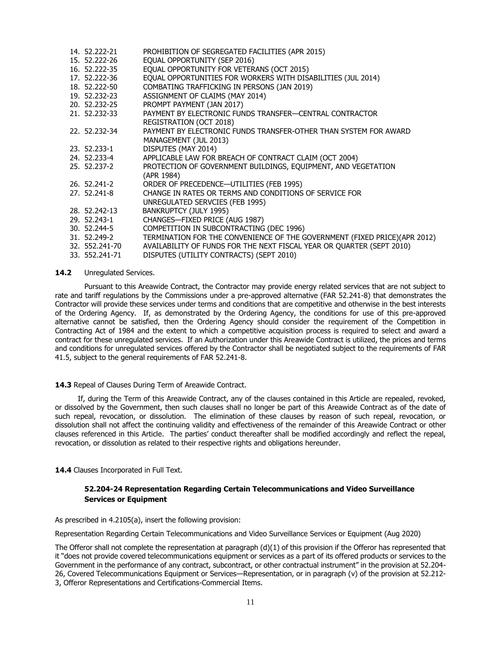| 14. 52.222-21    | PROHIBITION OF SEGREGATED FACILITIES (APR 2015)                           |
|------------------|---------------------------------------------------------------------------|
| 15. 52.222-26    | EQUAL OPPORTUNITY (SEP 2016)                                              |
| 16. 52.222-35    | EQUAL OPPORTUNITY FOR VETERANS (OCT 2015)                                 |
| 17. 52.222-36    | EQUAL OPPORTUNITIES FOR WORKERS WITH DISABILITIES (JUL 2014)              |
| 18, 52, 222-50   | COMBATING TRAFFICKING IN PERSONS (JAN 2019)                               |
| 19, 52, 232 - 23 | ASSIGNMENT OF CLAIMS (MAY 2014)                                           |
| 20, 52, 232 - 25 | PROMPT PAYMENT (JAN 2017)                                                 |
| 21. 52.232-33    | PAYMENT BY ELECTRONIC FUNDS TRANSFER-CENTRAL CONTRACTOR                   |
|                  | <b>REGISTRATION (OCT 2018)</b>                                            |
| 22. 52.232-34    | PAYMENT BY ELECTRONIC FUNDS TRANSFER-OTHER THAN SYSTEM FOR AWARD          |
|                  | MANAGEMENT (JUL 2013)                                                     |
| 23. 52.233-1     | DISPUTES (MAY 2014)                                                       |
| 24. 52.233-4     | APPLICABLE LAW FOR BREACH OF CONTRACT CLAIM (OCT 2004)                    |
| 25. 52.237-2     | PROTECTION OF GOVERNMENT BUILDINGS, EQUIPMENT, AND VEGETATION             |
|                  | (APR 1984)                                                                |
| 26, 52, 241 - 2  | ORDER OF PRECEDENCE-UTILITIES (FEB 1995)                                  |
| 27. 52.241-8     | CHANGE IN RATES OR TERMS AND CONDITIONS OF SERVICE FOR                    |
|                  | UNREGULATED SERVCIES (FEB 1995)                                           |
| 28. 52.242-13    | BANKRUPTCY (JULY 1995)                                                    |
| 29. 52.243-1     | CHANGES-FIXED PRICE (AUG 1987)                                            |
| 30.52.244-5      | COMPETITION IN SUBCONTRACTING (DEC 1996)                                  |
| 31, 52, 249 - 2  | TERMINATION FOR THE CONVENIENCE OF THE GOVERNMENT (FIXED PRICE)(APR 2012) |
| 32. 552.241-70   | AVAILABILITY OF FUNDS FOR THE NEXT FISCAL YEAR OR QUARTER (SEPT 2010)     |
| 33. 552.241-71   | DISPUTES (UTILITY CONTRACTS) (SEPT 2010)                                  |
|                  |                                                                           |

#### 14.2 Unregulated Services.

Pursuant to this Areawide Contract, the Contractor may provide energy related services that are not subject to rate and tariff regulations by the Commissions under a pre-approved alternative (FAR 52.241-8) that demonstrates the Contractor will provide these services under terms and conditions that are competitive and otherwise in the best interests of the Ordering Agency. If, as demonstrated by the Ordering Agency, the conditions for use of this pre-approved alternative cannot be satisfied, then the Ordering Agency should consider the requirement of the Competition in Contracting Act of 1984 and the extent to which a competitive acquisition process is required to select and award a contract for these unregulated services. If an Authorization under this Areawide Contract is utilized, the prices and terms and conditions for unregulated services offered by the Contractor shall be negotiated subject to the requirements of FAR 41.5, subject to the general requirements of FAR 52.241-8.

#### **14.3** Repeal of Clauses During Term of Areawide Contract.

 If, during the Term of this Areawide Contract, any of the clauses contained in this Article are repealed, revoked, or dissolved by the Government, then such clauses shall no longer be part of this Areawide Contract as of the date of such repeal, revocation, or dissolution. The elimination of these clauses by reason of such repeal, revocation, or dissolution shall not affect the continuing validity and effectiveness of the remainder of this Areawide Contract or other clauses referenced in this Article. The parties' conduct thereafter shall be modified accordingly and reflect the repeal, revocation, or dissolution as related to their respective rights and obligations hereunder.

14.4 Clauses Incorporated in Full Text.

# **52.204-24 Representation Regarding Certain Telecommunications and Video Surveillance Services or Equipment**

As prescribed in 4.2105(a), insert the following provision:

Representation Regarding Certain Telecommunications and Video Surveillance Services or Equipment (Aug 2020)

The Offeror shall not complete the representation at paragraph  $(d)(1)$  of this provision if the Offeror has represented that it "does not provide covered telecommunications equipment or services as a part of its offered products or services to the Government in the performance of any contract, subcontract, or other contractual instrument" in the provision at 52.204- 26, Covered Telecommunications Equipment or Services—Representation, or in paragraph (v) of the provision at 52.212- 3, Offeror Representations and Certifications-Commercial Items.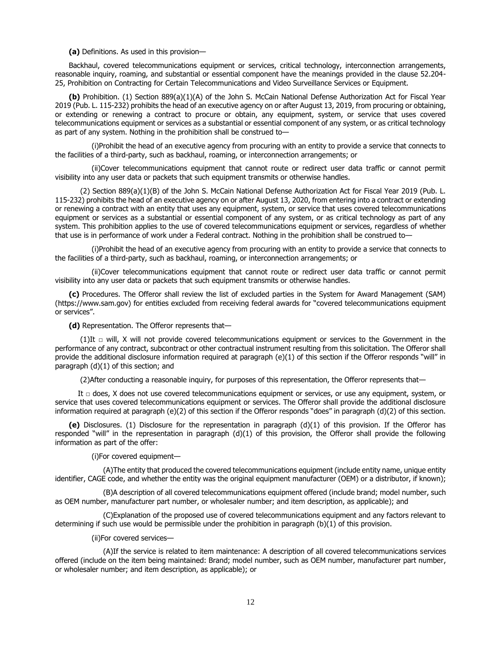**(a)** Definitions. As used in this provision—

 Backhaul, covered telecommunications equipment or services, critical technology, interconnection arrangements, reasonable inquiry, roaming, and substantial or essential component have the meanings provided in the clause 52.204- 25, Prohibition on Contracting for Certain Telecommunications and Video Surveillance Services or Equipment.

 **(b)** Prohibition. (1) Section 889(a)(1)(A) of the John S. McCain National Defense Authorization Act for Fiscal Year 2019 (Pub. L. 115-232) prohibits the head of an executive agency on or after August 13, 2019, from procuring or obtaining, or extending or renewing a contract to procure or obtain, any equipment, system, or service that uses covered telecommunications equipment or services as a substantial or essential component of any system, or as critical technology as part of any system. Nothing in the prohibition shall be construed to—

 (i)Prohibit the head of an executive agency from procuring with an entity to provide a service that connects to the facilities of a third-party, such as backhaul, roaming, or interconnection arrangements; or

 (ii)Cover telecommunications equipment that cannot route or redirect user data traffic or cannot permit visibility into any user data or packets that such equipment transmits or otherwise handles.

 (2) Section 889(a)(1)(B) of the John S. McCain National Defense Authorization Act for Fiscal Year 2019 (Pub. L. 115-232) prohibits the head of an executive agency on or after August 13, 2020, from entering into a contract or extending or renewing a contract with an entity that uses any equipment, system, or service that uses covered telecommunications equipment or services as a substantial or essential component of any system, or as critical technology as part of any system. This prohibition applies to the use of covered telecommunications equipment or services, regardless of whether that use is in performance of work under a Federal contract. Nothing in the prohibition shall be construed to—

 (i)Prohibit the head of an executive agency from procuring with an entity to provide a service that connects to the facilities of a third-party, such as backhaul, roaming, or interconnection arrangements; or

 (ii)Cover telecommunications equipment that cannot route or redirect user data traffic or cannot permit visibility into any user data or packets that such equipment transmits or otherwise handles.

 **(c)** Procedures. The Offeror shall review the list of excluded parties in the System for Award Management (SAM) (https://www.sam.gov) for entities excluded from receiving federal awards for "covered telecommunications equipment or services".

**(d)** Representation. The Offeror represents that—

(1)It  $\Box$  will, X will not provide covered telecommunications equipment or services to the Government in the performance of any contract, subcontract or other contractual instrument resulting from this solicitation. The Offeror shall provide the additional disclosure information required at paragraph (e)(1) of this section if the Offeror responds "will" in paragraph (d)(1) of this section; and

(2)After conducting a reasonable inquiry, for purposes of this representation, the Offeror represents that—

It  $\Box$  does, X does not use covered telecommunications equipment or services, or use any equipment, system, or service that uses covered telecommunications equipment or services. The Offeror shall provide the additional disclosure information required at paragraph (e)(2) of this section if the Offeror responds "does" in paragraph (d)(2) of this section.

 **(e)** Disclosures. (1) Disclosure for the representation in paragraph (d)(1) of this provision. If the Offeror has responded "will" in the representation in paragraph (d)(1) of this provision, the Offeror shall provide the following information as part of the offer:

(i)For covered equipment—

 (A)The entity that produced the covered telecommunications equipment (include entity name, unique entity identifier, CAGE code, and whether the entity was the original equipment manufacturer (OEM) or a distributor, if known);

 (B)A description of all covered telecommunications equipment offered (include brand; model number, such as OEM number, manufacturer part number, or wholesaler number; and item description, as applicable); and

 (C)Explanation of the proposed use of covered telecommunications equipment and any factors relevant to determining if such use would be permissible under the prohibition in paragraph (b)(1) of this provision.

(ii)For covered services—

 (A)If the service is related to item maintenance: A description of all covered telecommunications services offered (include on the item being maintained: Brand; model number, such as OEM number, manufacturer part number, or wholesaler number; and item description, as applicable); or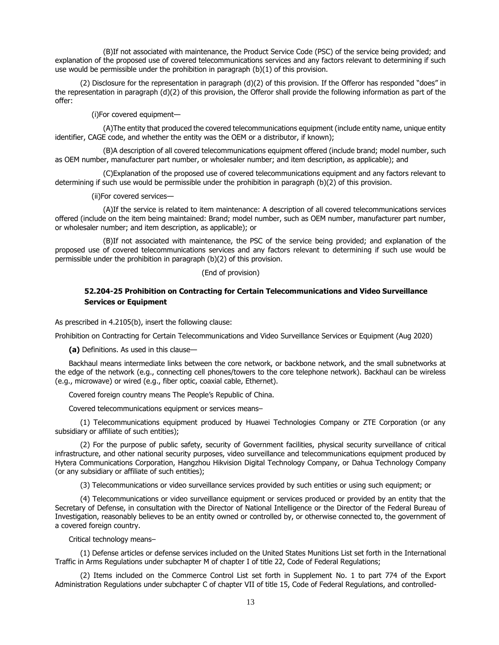(B)If not associated with maintenance, the Product Service Code (PSC) of the service being provided; and explanation of the proposed use of covered telecommunications services and any factors relevant to determining if such use would be permissible under the prohibition in paragraph (b)(1) of this provision.

 (2) Disclosure for the representation in paragraph (d)(2) of this provision. If the Offeror has responded "does" in the representation in paragraph (d)(2) of this provision, the Offeror shall provide the following information as part of the offer:

(i)For covered equipment—

 (A)The entity that produced the covered telecommunications equipment (include entity name, unique entity identifier, CAGE code, and whether the entity was the OEM or a distributor, if known);

 (B)A description of all covered telecommunications equipment offered (include brand; model number, such as OEM number, manufacturer part number, or wholesaler number; and item description, as applicable); and

 (C)Explanation of the proposed use of covered telecommunications equipment and any factors relevant to determining if such use would be permissible under the prohibition in paragraph (b)(2) of this provision.

(ii)For covered services—

 (A)If the service is related to item maintenance: A description of all covered telecommunications services offered (include on the item being maintained: Brand; model number, such as OEM number, manufacturer part number, or wholesaler number; and item description, as applicable); or

 (B)If not associated with maintenance, the PSC of the service being provided; and explanation of the proposed use of covered telecommunications services and any factors relevant to determining if such use would be permissible under the prohibition in paragraph (b)(2) of this provision.

#### (End of provision)

# **52.204-25 Prohibition on Contracting for Certain Telecommunications and Video Surveillance Services or Equipment**

As prescribed in 4.2105(b), insert the following clause:

Prohibition on Contracting for Certain Telecommunications and Video Surveillance Services or Equipment (Aug 2020)

**(a)** Definitions. As used in this clause—

 Backhaul means intermediate links between the core network, or backbone network, and the small subnetworks at the edge of the network (e.g., connecting cell phones/towers to the core telephone network). Backhaul can be wireless (e.g., microwave) or wired (e.g., fiber optic, coaxial cable, Ethernet).

Covered foreign country means The People's Republic of China.

Covered telecommunications equipment or services means–

 (1) Telecommunications equipment produced by Huawei Technologies Company or ZTE Corporation (or any subsidiary or affiliate of such entities);

 (2) For the purpose of public safety, security of Government facilities, physical security surveillance of critical infrastructure, and other national security purposes, video surveillance and telecommunications equipment produced by Hytera Communications Corporation, Hangzhou Hikvision Digital Technology Company, or Dahua Technology Company (or any subsidiary or affiliate of such entities);

(3) Telecommunications or video surveillance services provided by such entities or using such equipment; or

 (4) Telecommunications or video surveillance equipment or services produced or provided by an entity that the Secretary of Defense, in consultation with the Director of National Intelligence or the Director of the Federal Bureau of Investigation, reasonably believes to be an entity owned or controlled by, or otherwise connected to, the government of a covered foreign country.

Critical technology means–

 (1) Defense articles or defense services included on the United States Munitions List set forth in the International Traffic in Arms Regulations under subchapter M of chapter I of title 22, Code of Federal Regulations;

 (2) Items included on the Commerce Control List set forth in Supplement No. 1 to part 774 of the Export Administration Regulations under subchapter C of chapter VII of title 15, Code of Federal Regulations, and controlled-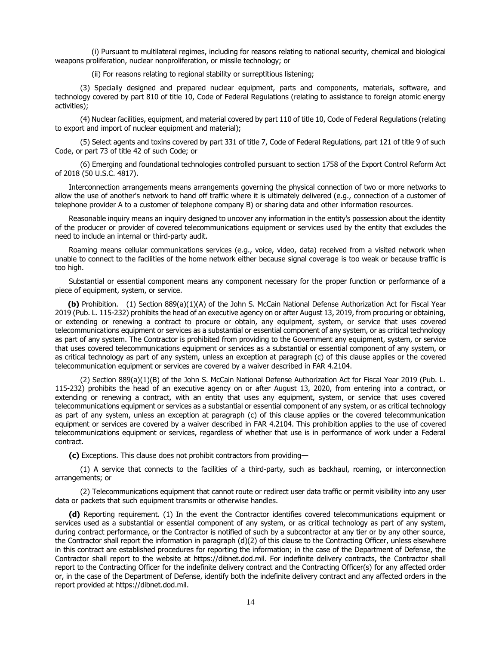(i) Pursuant to multilateral regimes, including for reasons relating to national security, chemical and biological weapons proliferation, nuclear nonproliferation, or missile technology; or

(ii) For reasons relating to regional stability or surreptitious listening;

 (3) Specially designed and prepared nuclear equipment, parts and components, materials, software, and technology covered by part 810 of title 10, Code of Federal Regulations (relating to assistance to foreign atomic energy activities);

 (4) Nuclear facilities, equipment, and material covered by part 110 of title 10, Code of Federal Regulations (relating to export and import of nuclear equipment and material);

 (5) Select agents and toxins covered by part 331 of title 7, Code of Federal Regulations, part 121 of title 9 of such Code, or part 73 of title 42 of such Code; or

 (6) Emerging and foundational technologies controlled pursuant to section 1758 of the Export Control Reform Act of 2018 (50 U.S.C. 4817).

 Interconnection arrangements means arrangements governing the physical connection of two or more networks to allow the use of another's network to hand off traffic where it is ultimately delivered (e.g., connection of a customer of telephone provider A to a customer of telephone company B) or sharing data and other information resources.

 Reasonable inquiry means an inquiry designed to uncover any information in the entity's possession about the identity of the producer or provider of covered telecommunications equipment or services used by the entity that excludes the need to include an internal or third-party audit.

 Roaming means cellular communications services (e.g., voice, video, data) received from a visited network when unable to connect to the facilities of the home network either because signal coverage is too weak or because traffic is too high.

 Substantial or essential component means any component necessary for the proper function or performance of a piece of equipment, system, or service.

 **(b)** Prohibition. (1) Section 889(a)(1)(A) of the John S. McCain National Defense Authorization Act for Fiscal Year 2019 (Pub. L. 115-232) prohibits the head of an executive agency on or after August 13, 2019, from procuring or obtaining, or extending or renewing a contract to procure or obtain, any equipment, system, or service that uses covered telecommunications equipment or services as a substantial or essential component of any system, or as critical technology as part of any system. The Contractor is prohibited from providing to the Government any equipment, system, or service that uses covered telecommunications equipment or services as a substantial or essential component of any system, or as critical technology as part of any system, unless an exception at paragraph (c) of this clause applies or the covered telecommunication equipment or services are covered by a waiver described in FAR 4.2104.

 (2) Section 889(a)(1)(B) of the John S. McCain National Defense Authorization Act for Fiscal Year 2019 (Pub. L. 115-232) prohibits the head of an executive agency on or after August 13, 2020, from entering into a contract, or extending or renewing a contract, with an entity that uses any equipment, system, or service that uses covered telecommunications equipment or services as a substantial or essential component of any system, or as critical technology as part of any system, unless an exception at paragraph (c) of this clause applies or the covered telecommunication equipment or services are covered by a waiver described in FAR 4.2104. This prohibition applies to the use of covered telecommunications equipment or services, regardless of whether that use is in performance of work under a Federal contract.

**(c)** Exceptions. This clause does not prohibit contractors from providing—

 (1) A service that connects to the facilities of a third-party, such as backhaul, roaming, or interconnection arrangements; or

 (2) Telecommunications equipment that cannot route or redirect user data traffic or permit visibility into any user data or packets that such equipment transmits or otherwise handles.

 **(d)** Reporting requirement. (1) In the event the Contractor identifies covered telecommunications equipment or services used as a substantial or essential component of any system, or as critical technology as part of any system, during contract performance, or the Contractor is notified of such by a subcontractor at any tier or by any other source, the Contractor shall report the information in paragraph (d)(2) of this clause to the Contracting Officer, unless elsewhere in this contract are established procedures for reporting the information; in the case of the Department of Defense, the Contractor shall report to the website at https://dibnet.dod.mil. For indefinite delivery contracts, the Contractor shall report to the Contracting Officer for the indefinite delivery contract and the Contracting Officer(s) for any affected order or, in the case of the Department of Defense, identify both the indefinite delivery contract and any affected orders in the report provided at https://dibnet.dod.mil.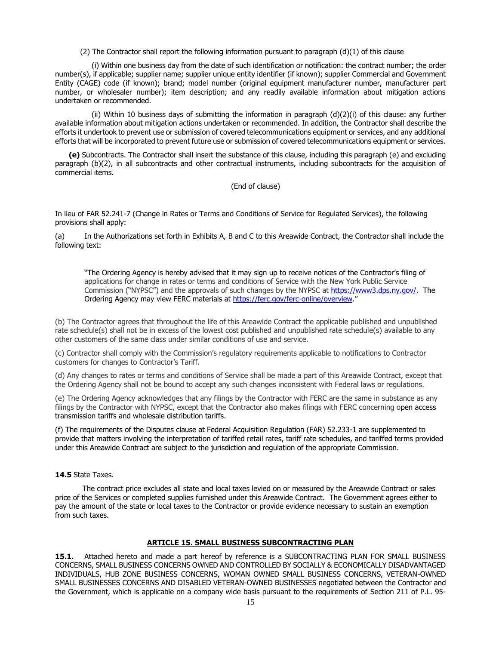(2) The Contractor shall report the following information pursuant to paragraph  $(d)(1)$  of this clause

 (i) Within one business day from the date of such identification or notification: the contract number; the order number(s), if applicable; supplier name; supplier unique entity identifier (if known); supplier Commercial and Government Entity (CAGE) code (if known); brand; model number (original equipment manufacturer number, manufacturer part number, or wholesaler number); item description; and any readily available information about mitigation actions undertaken or recommended.

 (ii) Within 10 business days of submitting the information in paragraph (d)(2)(i) of this clause: any further available information about mitigation actions undertaken or recommended. In addition, the Contractor shall describe the efforts it undertook to prevent use or submission of covered telecommunications equipment or services, and any additional efforts that will be incorporated to prevent future use or submission of covered telecommunications equipment or services.

 **(e)** Subcontracts. The Contractor shall insert the substance of this clause, including this paragraph (e) and excluding paragraph (b)(2), in all subcontracts and other contractual instruments, including subcontracts for the acquisition of commercial items.

(End of clause)

In lieu of FAR 52.241-7 (Change in Rates or Terms and Conditions of Service for Regulated Services), the following provisions shall apply:

(a) In the Authorizations set forth in Exhibits A, B and C to this Areawide Contract, the Contractor shall include the following text:

"The Ordering Agency is hereby advised that it may sign up to receive notices of the Contractor's filing of applications for change in rates or terms and conditions of Service with the New York Public Service Commission ("NYPSC") and the approvals of such changes by the NYPSC at [https://www3.dps.ny.gov/.](https://www3.dps.ny.gov/) The Ordering Agency may view FERC materials at [https://ferc.gov/ferc-online/overview.](https://ferc.gov/ferc-online/overview)"

(b) The Contractor agrees that throughout the life of this Areawide Contract the applicable published and unpublished rate schedule(s) shall not be in excess of the lowest cost published and unpublished rate schedule(s) available to any other customers of the same class under similar conditions of use and service.

(c) Contractor shall comply with the Commission's regulatory requirements applicable to notifications to Contractor customers for changes to Contractor's Tariff.

(d) Any changes to rates or terms and conditions of Service shall be made a part of this Areawide Contract, except that the Ordering Agency shall not be bound to accept any such changes inconsistent with Federal laws or regulations.

(e) The Ordering Agency acknowledges that any filings by the Contractor with FERC are the same in substance as any filings by the Contractor with NYPSC, except that the Contractor also makes filings with FERC concerning open access transmission tariffs and wholesale distribution tariffs.

(f) The requirements of the Disputes clause at Federal Acquisition Regulation (FAR) 52.233-1 are supplemented to provide that matters involving the interpretation of tariffed retail rates, tariff rate schedules, and tariffed terms provided under this Areawide Contract are subject to the jurisdiction and regulation of the appropriate Commission.

#### **14.5** State Taxes.

 The contract price excludes all state and local taxes levied on or measured by the Areawide Contract or sales price of the Services or completed supplies furnished under this Areawide Contract. The Government agrees either to pay the amount of the state or local taxes to the Contractor or provide evidence necessary to sustain an exemption from such taxes.

#### **ARTICLE 15. SMALL BUSINESS SUBCONTRACTING PLAN**

<span id="page-14-0"></span>**15.1.** Attached hereto and made a part hereof by reference is a SUBCONTRACTING PLAN FOR SMALL BUSINESS CONCERNS, SMALL BUSINESS CONCERNS OWNED AND CONTROLLED BY SOCIALLY & ECONOMICALLY DISADVANTAGED INDIVIDUALS, HUB ZONE BUSINESS CONCERNS, WOMAN OWNED SMALL BUSINESS CONCERNS, VETERAN-OWNED SMALL BUSINESSES CONCERNS AND DISABLED VETERAN-OWNED BUSINESSES negotiated between the Contractor and the Government, which is applicable on a company wide basis pursuant to the requirements of Section 211 of P.L. 95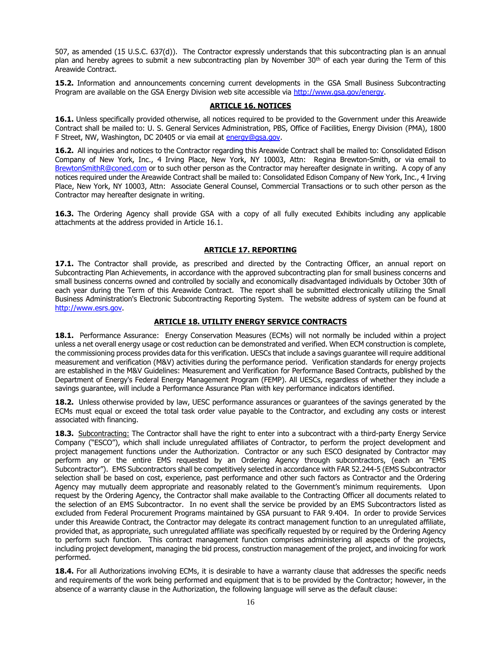507, as amended (15 U.S.C. 637(d)). The Contractor expressly understands that this subcontracting plan is an annual plan and hereby agrees to submit a new subcontracting plan by November 30<sup>th</sup> of each vear during the Term of this Areawide Contract.

**15.2.** Information and announcements concerning current developments in the GSA Small Business Subcontracting Program are available on the GSA Energy Division web site accessible via [http://www.gsa.gov/energy.](http://www.gsa.gov/energy)

#### **ARTICLE 16. NOTICES**

<span id="page-15-0"></span>**16.1.** Unless specifically provided otherwise, all notices required to be provided to the Government under this Areawide Contract shall be mailed to: U. S. General Services Administration, PBS, Office of Facilities, Energy Division (PMA), 1800 F Street, NW, Washington, DC 20405 or via email at [energy@gsa.gov.](file://///Ecoh2s-fs02.ent.ds.gsa.gov/pbs_user2$/KijuanaNYoung/energy@gsa.gov)

**16.2.** All inquiries and notices to the Contractor regarding this Areawide Contract shall be mailed to: Consolidated Edison Company of New York, Inc., 4 Irving Place, New York, NY 10003, Attn: Regina Brewton-Smith, or via email to [BrewtonSmithR@coned.com](mailto:BrewtonSmithR@coned.com) or to such other person as the Contractor may hereafter designate in writing. A copy of any notices required under the Areawide Contract shall be mailed to: Consolidated Edison Company of New York, Inc., 4 Irving Place, New York, NY 10003, Attn: Associate General Counsel, Commercial Transactions or to such other person as the Contractor may hereafter designate in writing.

**16.3.** The Ordering Agency shall provide GSA with a copy of all fully executed Exhibits including any applicable attachments at the address provided in Article 16.1.

#### **ARTICLE 17. REPORTING**

<span id="page-15-1"></span>**17.1.** The Contractor shall provide, as prescribed and directed by the Contracting Officer, an annual report on Subcontracting Plan Achievements, in accordance with the approved subcontracting plan for small business concerns and small business concerns owned and controlled by socially and economically disadvantaged individuals by October 30th of each year during the Term of this Areawide Contract. The report shall be submitted electronically utilizing the Small Business Administration's Electronic Subcontracting Reporting System. The website address of system can be found at [http://www.esrs.gov.](http://www.esrs.gov/)

### **ARTICLE 18. UTILITY ENERGY SERVICE CONTRACTS**

<span id="page-15-2"></span>**18.1.** Performance Assurance: Energy Conservation Measures (ECMs) will not normally be included within a project unless a net overall energy usage or cost reduction can be demonstrated and verified. When ECM construction is complete, the commissioning process provides data for this verification. UESCs that include a savings guarantee will require additional measurement and verification (M&V) activities during the performance period. Verification standards for energy projects are established in the M&V Guidelines: Measurement and Verification for Performance Based Contracts, published by the Department of Energy's Federal Energy Management Program (FEMP). All UESCs, regardless of whether they include a savings guarantee, will include a Performance Assurance Plan with key performance indicators identified.

**18.2.** Unless otherwise provided by law, UESC performance assurances or guarantees of the savings generated by the ECMs must equal or exceed the total task order value payable to the Contractor, and excluding any costs or interest associated with financing.

**18.3.** Subcontracting: The Contractor shall have the right to enter into a subcontract with a third-party Energy Service Company ("ESCO"), which shall include unregulated affiliates of Contractor, to perform the project development and project management functions under the Authorization. Contractor or any such ESCO designated by Contractor may perform any or the entire EMS requested by an Ordering Agency through subcontractors, (each an "EMS Subcontractor"). EMS Subcontractors shall be competitively selected in accordance with FAR 52.244-5 (EMS Subcontractor selection shall be based on cost, experience, past performance and other such factors as Contractor and the Ordering Agency may mutually deem appropriate and reasonably related to the Government's minimum requirements. Upon request by the Ordering Agency, the Contractor shall make available to the Contracting Officer all documents related to the selection of an EMS Subcontractor. In no event shall the service be provided by an EMS Subcontractors listed as excluded from Federal Procurement Programs maintained by GSA pursuant to FAR 9.404. In order to provide Services under this Areawide Contract, the Contractor may delegate its contract management function to an unregulated affiliate, provided that, as appropriate, such unregulated affiliate was specifically requested by or required by the Ordering Agency to perform such function. This contract management function comprises administering all aspects of the projects, including project development, managing the bid process, construction management of the project, and invoicing for work performed.

**18.4.** For all Authorizations involving ECMs, it is desirable to have a warranty clause that addresses the specific needs and requirements of the work being performed and equipment that is to be provided by the Contractor; however, in the absence of a warranty clause in the Authorization, the following language will serve as the default clause: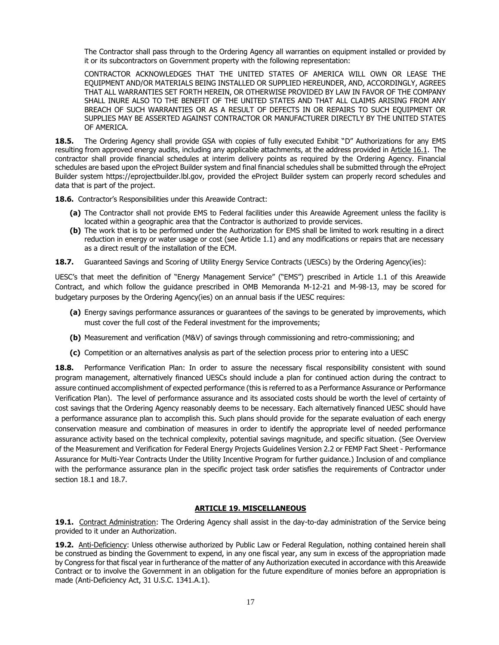The Contractor shall pass through to the Ordering Agency all warranties on equipment installed or provided by it or its subcontractors on Government property with the following representation:

CONTRACTOR ACKNOWLEDGES THAT THE UNITED STATES OF AMERICA WILL OWN OR LEASE THE EQUIPMENT AND/OR MATERIALS BEING INSTALLED OR SUPPLIED HEREUNDER, AND, ACCORDINGLY, AGREES THAT ALL WARRANTIES SET FORTH HEREIN, OR OTHERWISE PROVIDED BY LAW IN FAVOR OF THE COMPANY SHALL INURE ALSO TO THE BENEFIT OF THE UNITED STATES AND THAT ALL CLAIMS ARISING FROM ANY BREACH OF SUCH WARRANTIES OR AS A RESULT OF DEFECTS IN OR REPAIRS TO SUCH EQUIPMENT OR SUPPLIES MAY BE ASSERTED AGAINST CONTRACTOR OR MANUFACTURER DIRECTLY BY THE UNITED STATES OF AMERICA.

**18.5.** The Ordering Agency shall provide GSA with copies of fully executed Exhibit "D" Authorizations for any EMS resulting from approved energy audits, including any applicable attachments, at the address provided in Article 16.1. The contractor shall provide financial schedules at interim delivery points as required by the Ordering Agency. Financial schedules are based upon the eProject Builder system and final financial schedules shall be submitted through the eProject Builder system https://eprojectbuilder.lbl.gov, provided the eProject Builder system can properly record schedules and data that is part of the project.

**18.6.** Contractor's Responsibilities under this Areawide Contract:

- **(a)** The Contractor shall not provide EMS to Federal facilities under this Areawide Agreement unless the facility is located within a geographic area that the Contractor is authorized to provide services.
- **(b)** The work that is to be performed under the Authorization for EMS shall be limited to work resulting in a direct reduction in energy or water usage or cost (see Article 1.1) and any modifications or repairs that are necessary as a direct result of the installation of the ECM.
- **18.7.** Guaranteed Savings and Scoring of Utility Energy Service Contracts (UESCs) by the Ordering Agency(ies):

UESC's that meet the definition of "Energy Management Service" ("EMS") prescribed in Article 1.1 of this Areawide Contract, and which follow the guidance prescribed in OMB Memoranda M-12-21 and M-98-13, may be scored for budgetary purposes by the Ordering Agency(ies) on an annual basis if the UESC requires:

- **(a)** Energy savings performance assurances or guarantees of the savings to be generated by improvements, which must cover the full cost of the Federal investment for the improvements;
- **(b)** Measurement and verification (M&V) of savings through commissioning and retro-commissioning; and
- **(c)** Competition or an alternatives analysis as part of the selection process prior to entering into a UESC

**18.8.** Performance Verification Plan: In order to assure the necessary fiscal responsibility consistent with sound program management, alternatively financed UESCs should include a plan for continued action during the contract to assure continued accomplishment of expected performance (this is referred to as a Performance Assurance or Performance Verification Plan). The level of performance assurance and its associated costs should be worth the level of certainty of cost savings that the Ordering Agency reasonably deems to be necessary. Each alternatively financed UESC should have a performance assurance plan to accomplish this. Such plans should provide for the separate evaluation of each energy conservation measure and combination of measures in order to identify the appropriate level of needed performance assurance activity based on the technical complexity, potential savings magnitude, and specific situation. (See Overview of the Measurement and Verification for Federal Energy Projects Guidelines Version 2.2 or FEMP Fact Sheet - Performance Assurance for Multi-Year Contracts Under the Utility Incentive Program for further guidance.) Inclusion of and compliance with the performance assurance plan in the specific project task order satisfies the requirements of Contractor under section 18.1 and 18.7.

### **ARTICLE 19. MISCELLANEOUS**

<span id="page-16-0"></span>**19.1.** Contract Administration: The Ordering Agency shall assist in the day-to-day administration of the Service being provided to it under an Authorization.

**19.2.** Anti-Deficiency: Unless otherwise authorized by Public Law or Federal Regulation, nothing contained herein shall be construed as binding the Government to expend, in any one fiscal year, any sum in excess of the appropriation made by Congress for that fiscal year in furtherance of the matter of any Authorization executed in accordance with this Areawide Contract or to involve the Government in an obligation for the future expenditure of monies before an appropriation is made (Anti-Deficiency Act, 31 U.S.C. 1341.A.1).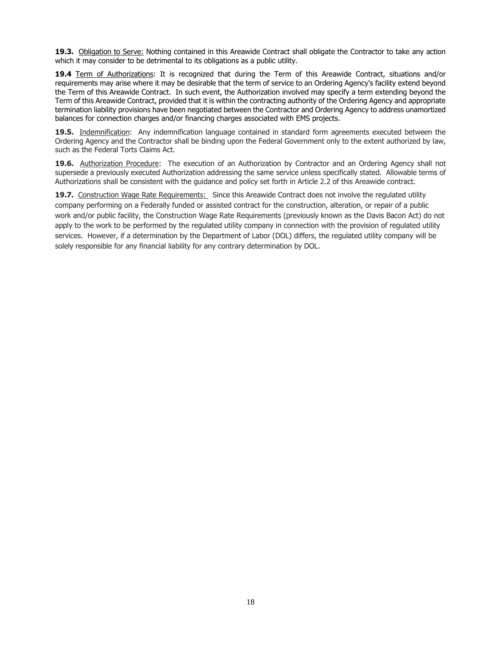**19.3.** Obligation to Serve: Nothing contained in this Areawide Contract shall obligate the Contractor to take any action which it may consider to be detrimental to its obligations as a public utility.

**19.4** Term of Authorizations: It is recognized that during the Term of this Areawide Contract, situations and/or requirements may arise where it may be desirable that the term of service to an Ordering Agency's facility extend beyond the Term of this Areawide Contract. In such event, the Authorization involved may specify a term extending beyond the Term of this Areawide Contract, provided that it is within the contracting authority of the Ordering Agency and appropriate termination liability provisions have been negotiated between the Contractor and Ordering Agency to address unamortized balances for connection charges and/or financing charges associated with EMS projects.

**19.5.** Indemnification: Any indemnification language contained in standard form agreements executed between the Ordering Agency and the Contractor shall be binding upon the Federal Government only to the extent authorized by law, such as the Federal Torts Claims Act.

**19.6.** Authorization Procedure: The execution of an Authorization by Contractor and an Ordering Agency shall not supersede a previously executed Authorization addressing the same service unless specifically stated. Allowable terms of Authorizations shall be consistent with the guidance and policy set forth in Article 2.2 of this Areawide contract.

**19.7.** Construction Wage Rate Requirements: Since this Areawide Contract does not involve the regulated utility company performing on a Federally funded or assisted contract for the construction, alteration, or repair of a public work and/or public facility, the Construction Wage Rate Requirements (previously known as the Davis Bacon Act) do not apply to the work to be performed by the regulated utility company in connection with the provision of regulated utility services. However, if a determination by the Department of Labor (DOL) differs, the regulated utility company will be solely responsible for any financial liability for any contrary determination by DOL.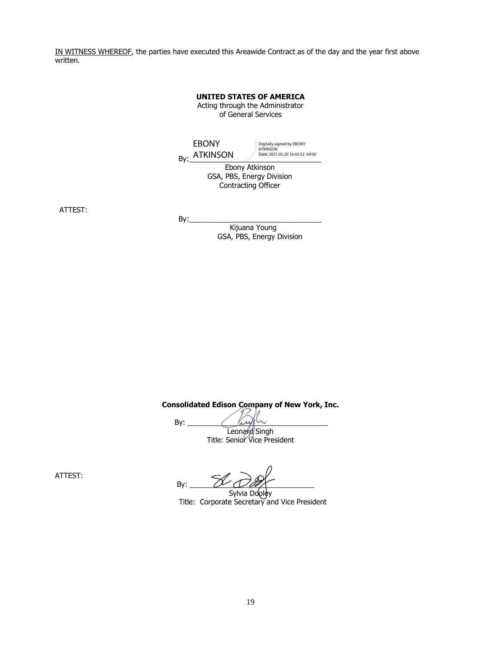<span id="page-18-0"></span>IN WITNESS WHEREOF, the parties have executed this Areawide Contract as of the day and the year first above written.

> **UNITED STATES OF AMERICA** Acting through the Administrator of General Services

By:  $\frac{\text{ATKINSON}}{\text{Date: } 2021.05.2016.43:52-04'00'}}$ Ebony Atkinson EBONY Digitally signed by EBONY ATKINSON Date: 2021.05.20 16:43:52 -04'00'

GSA, PBS, Energy Division Contracting Officer

ATTEST:

 $By:$ 

 Kijuana Young GSA, PBS, Energy Division

**Consolidated Edison Company of New York, Inc.**

By:  $\frac{f(x,y) \sim y}{\sqrt{2\pi}}$ Leonard Singh Title: Senior Vice President

ATTEST:

By:  $\omega$   $\omega$   $\alpha$ 

Sylvia Dooley Title: Corporate Secretary and Vice President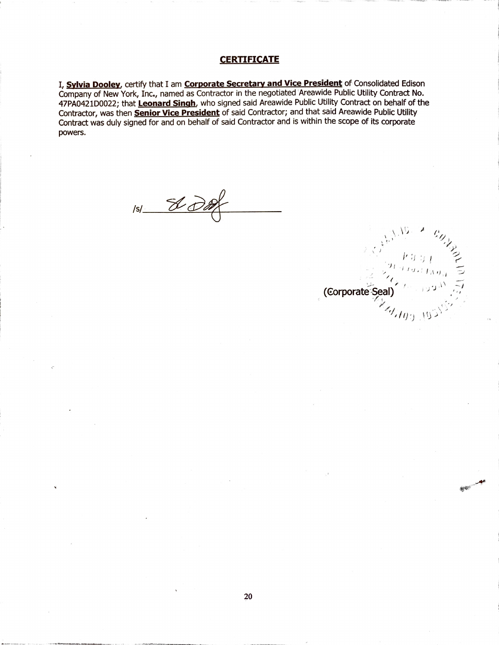# **CERTIFICATE**

I, Sylvia Dooley, certify that I am Corporate Secretary and Vice President of Consolidated Edison Company of New York, Inc., named as Contractor in the negotiated Areawide Public Utility Contract No. 47PA0421D0022; that Leonard Singh, who signed said Areawide Public Utility Contract on behalf of the Contractor, was then Senior Vice President of said Contractor; and that said Areawide Public Utility Contract was duly signed for and on behalf of said Contractor and is within the scope of its corporate powers.

 $151 - 800$ 

(Corporate Seal)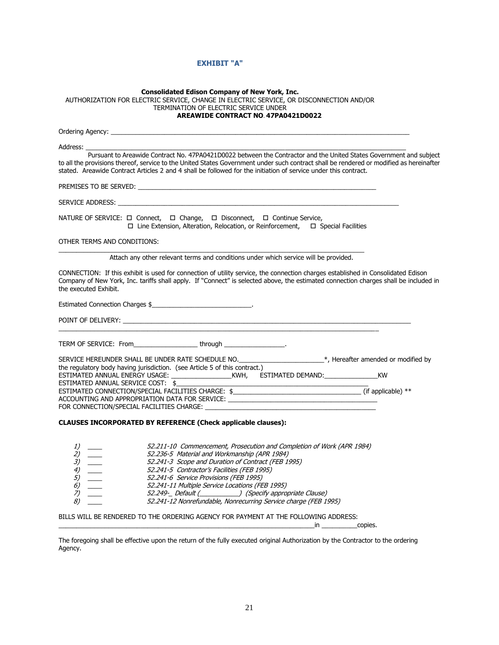# **EXHIBIT "A"**

| <b>Consolidated Edison Company of New York, Inc.</b><br>AUTHORIZATION FOR ELECTRIC SERVICE, CHANGE IN ELECTRIC SERVICE, OR DISCONNECTION AND/OR<br>TERMINATION OF ELECTRIC SERVICE UNDER<br><b>AREAWIDE CONTRACT NO. 47PA0421D0022</b>                                                                                                                                                                                                                                                                                                                            |  |
|-------------------------------------------------------------------------------------------------------------------------------------------------------------------------------------------------------------------------------------------------------------------------------------------------------------------------------------------------------------------------------------------------------------------------------------------------------------------------------------------------------------------------------------------------------------------|--|
| Ordering Agency: New York Changes and Changes and Changes and Changes and Changes and Changes and Changes and Changes and Changes and Changes and Changes and Changes and Changes and Changes and Changes and Changes and Chan                                                                                                                                                                                                                                                                                                                                    |  |
|                                                                                                                                                                                                                                                                                                                                                                                                                                                                                                                                                                   |  |
| Pursuant to Areawide Contract No. 47PA0421D0022 between the Contractor and the United States Government and subject<br>to all the provisions thereof, service to the United States Government under such contract shall be rendered or modified as hereinafter<br>stated. Areawide Contract Articles 2 and 4 shall be followed for the initiation of service under this contract.                                                                                                                                                                                 |  |
|                                                                                                                                                                                                                                                                                                                                                                                                                                                                                                                                                                   |  |
|                                                                                                                                                                                                                                                                                                                                                                                                                                                                                                                                                                   |  |
| NATURE OF SERVICE: □ Connect, □ Change, □ Disconnect, □ Continue Service,<br>$\Box$ Line Extension, Alteration, Relocation, or Reinforcement, $\Box$ Special Facilities                                                                                                                                                                                                                                                                                                                                                                                           |  |
| OTHER TERMS AND CONDITIONS:                                                                                                                                                                                                                                                                                                                                                                                                                                                                                                                                       |  |
| Attach any other relevant terms and conditions under which service will be provided.                                                                                                                                                                                                                                                                                                                                                                                                                                                                              |  |
| CONNECTION: If this exhibit is used for connection of utility service, the connection charges established in Consolidated Edison<br>Company of New York, Inc. tariffs shall apply. If "Connect" is selected above, the estimated connection charges shall be included in<br>the executed Exhibit.                                                                                                                                                                                                                                                                 |  |
| Estimated Connection Charges \$                                                                                                                                                                                                                                                                                                                                                                                                                                                                                                                                   |  |
|                                                                                                                                                                                                                                                                                                                                                                                                                                                                                                                                                                   |  |
| TERM OF SERVICE: From ________________________through ____________________.<br>SERVICE HEREUNDER SHALL BE UNDER RATE SCHEDULE NO. __________________________*, Hereafter amended or modified by                                                                                                                                                                                                                                                                                                                                                                   |  |
| the regulatory body having jurisdiction. (see Article 5 of this contract.)<br>ESTIMATED ANNUAL ENERGY USAGE: ___________________KWH,  ESTIMATED DEMAND:___________________KW                                                                                                                                                                                                                                                                                                                                                                                      |  |
| ESTIMATED ANNUAL SERVICE COST: \$                                                                                                                                                                                                                                                                                                                                                                                                                                                                                                                                 |  |
| ESTIMATED CONNECTION/SPECIAL FACILITIES CHARGE: \$_________________________________(if applicable) **<br>ACCOUNTING AND APPROPRIATION DATA FOR SERVICE: _________________________________                                                                                                                                                                                                                                                                                                                                                                         |  |
|                                                                                                                                                                                                                                                                                                                                                                                                                                                                                                                                                                   |  |
| CLAUSES INCORPORATED BY REFERENCE (Check applicable clauses):                                                                                                                                                                                                                                                                                                                                                                                                                                                                                                     |  |
| 52.211-10 Commencement, Prosecution and Completion of Work (APR 1984)<br>$\frac{1}{2}$ —<br>52.236-5 Material and Workmanship (APR 1984)<br>2)<br>3)<br>52.241-3 Scope and Duration of Contract (FEB 1995)<br>$\begin{pmatrix} 4 \\ 5 \\ 6 \end{pmatrix}$<br>52.241-5 Contractor's Facilities (FEB 1995)<br>52.241-6 Service Provisions (FEB 1995)<br>52.241-11 Multiple Service Locations (FEB 1995)<br>$\overline{z}$<br>52.249-_ Default (_____________) (Specify appropriate Clause)<br>8)<br>52.241-12 Nonrefundable, Nonrecurring Service charge (FEB 1995) |  |
| BILLS WILL BE RENDERED TO THE ORDERING AGENCY FOR PAYMENT AT THE FOLLOWING ADDRESS:                                                                                                                                                                                                                                                                                                                                                                                                                                                                               |  |
| in copies.                                                                                                                                                                                                                                                                                                                                                                                                                                                                                                                                                        |  |

The foregoing shall be effective upon the return of the fully executed original Authorization by the Contractor to the ordering Agency.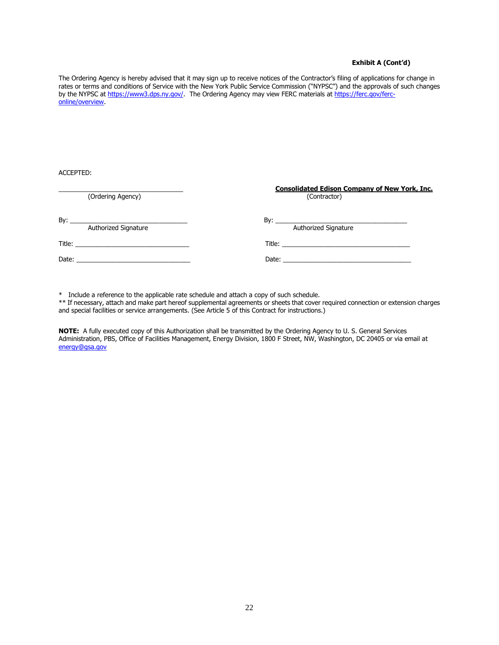#### **Exhibit A (Cont'd)**

The Ordering Agency is hereby advised that it may sign up to receive notices of the Contractor's filing of applications for change in rates or terms and conditions of Service with the New York Public Service Commission ("NYPSC") and the approvals of such changes by the NYPSC at [https://www3.dps.ny.gov/.](https://www3.dps.ny.gov/) The Ordering Agency may view FERC materials at [https://ferc.gov/ferc](https://ferc.gov/ferc-online/overview)[online/overview.](https://ferc.gov/ferc-online/overview)

ACCEPTED:

|                             | <b>Consolidated Edison Company of New York, Inc.</b> |  |
|-----------------------------|------------------------------------------------------|--|
| (Ordering Agency)           | (Contractor)                                         |  |
| <b>Authorized Signature</b> | Authorized Signature                                 |  |
|                             |                                                      |  |
|                             |                                                      |  |

\* Include a reference to the applicable rate schedule and attach a copy of such schedule.

\*\* If necessary, attach and make part hereof supplemental agreements or sheets that cover required connection or extension charges and special facilities or service arrangements. (See Article 5 of this Contract for instructions.)

**NOTE:** A fully executed copy of this Authorization shall be transmitted by the Ordering Agency to U. S. General Services Administration, PBS, Office of Facilities Management, Energy Division, 1800 F Street, NW, Washington, DC 20405 or via email at [energy@gsa.gov](file://///Ecoh2s-fs02.ent.ds.gsa.gov/pbs_user2$/KijuanaNYoung/energy@gsa.gov)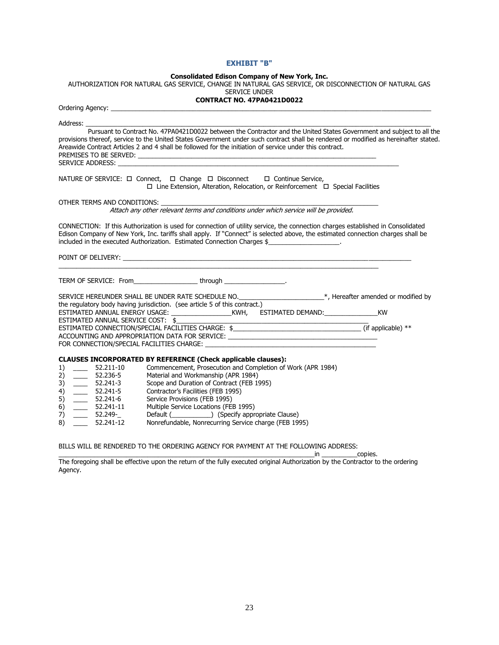#### **EXHIBIT "B"**

#### **Consolidated Edison Company of New York, Inc.**

AUTHORIZATION FOR NATURAL GAS SERVICE, CHANGE IN NATURAL GAS SERVICE, OR DISCONNECTION OF NATURAL GAS

| <b>SERVICE UNDER</b> |  |
|----------------------|--|
|----------------------|--|

# **CONTRACT NO. 47PA0421D0022** Ordering Agency: \_\_\_\_\_\_\_\_\_\_\_\_\_\_\_\_\_\_\_\_\_\_\_\_\_\_\_\_\_\_\_\_\_\_\_\_\_\_\_\_\_\_\_\_\_\_\_\_\_\_\_\_\_\_\_\_\_\_\_\_\_\_\_\_\_\_\_\_\_\_\_\_\_\_\_\_\_\_\_\_\_\_\_\_\_\_\_\_\_\_ Address: \_\_\_\_\_\_\_\_\_\_\_\_\_\_\_\_\_\_\_\_\_\_\_\_\_\_\_\_\_\_\_\_\_\_\_\_\_\_\_\_\_\_\_\_\_\_\_\_\_\_\_\_\_\_\_\_\_\_\_\_\_\_\_\_\_\_\_\_\_\_\_\_\_\_\_\_\_\_\_\_\_\_\_\_\_\_\_\_\_\_\_\_\_\_\_\_\_ Pursuant to Contract No. 47PA0421D0022 between the Contractor and the United States Government and subject to all the provisions thereof, service to the United States Government under such contract shall be rendered or modified as hereinafter stated. Areawide Contract Articles 2 and 4 shall be followed for the initiation of service under this contract. PREMISES TO BE SERVED: SERVICE ADDRESS: NATURE OF SERVICE:  $\Box$  Connect,  $\Box$  Change  $\Box$  Disconnect  $\Box$  Continue Service,  $\Box$  Line Extension, Alteration, Relocation, or Reinforcement  $\Box$  Special Facilities OTHER TERMS AND CONDITIONS: Attach any other relevant terms and conditions under which service will be provided. CONNECTION: If this Authorization is used for connection of utility service, the connection charges established in Consolidated Edison Company of New York, Inc. tariffs shall apply. If "Connect" is selected above, the estimated connection charges shall be included in the executed Authorization. Estimated Connection Charges \$ POINT OF DELIVERY:  $\mathcal{L}_\mathcal{L} = \{ \mathcal{L}_\mathcal{L} = \{ \mathcal{L}_\mathcal{L} = \{ \mathcal{L}_\mathcal{L} = \{ \mathcal{L}_\mathcal{L} = \{ \mathcal{L}_\mathcal{L} = \{ \mathcal{L}_\mathcal{L} = \{ \mathcal{L}_\mathcal{L} = \{ \mathcal{L}_\mathcal{L} = \{ \mathcal{L}_\mathcal{L} = \{ \mathcal{L}_\mathcal{L} = \{ \mathcal{L}_\mathcal{L} = \{ \mathcal{L}_\mathcal{L} = \{ \mathcal{L}_\mathcal{L} = \{ \mathcal{L}_\mathcal{$ TERM OF SERVICE: From\_\_\_\_\_\_\_\_\_\_\_\_\_\_\_\_\_\_ through \_\_\_\_\_\_\_\_\_\_\_\_\_\_\_\_\_. SERVICE HEREUNDER SHALL BE UNDER RATE SCHEDULE NO. \_\_\_\_\_\_\_\_\_\_\_\_\_\_\_\_\_\_\_\_\_\_\_\_\*, Hereafter amended or modified by the regulatory body having jurisdiction. (see article 5 of this contract.) ESTIMATED ANNUAL ENERGY USAGE: \_\_\_\_\_\_\_\_\_\_\_\_\_\_\_\_\_KWH, ESTIMATED DEMAND:\_\_\_\_\_\_\_\_\_\_\_\_\_\_\_KW ESTIMATED ANNUAL SERVICE COST: \$\_\_\_\_\_\_\_\_\_\_\_\_\_\_\_\_\_\_\_\_\_\_\_\_\_\_\_\_\_\_\_\_\_\_\_\_\_\_\_\_\_\_\_\_\_\_\_\_\_\_\_\_\_\_ ESTIMATED CONNECTION/SPECIAL FACILITIES CHARGE: \$ ACCOUNTING AND APPROPRIATION DATA FOR SERVICE: \_\_\_\_\_\_\_\_\_\_\_\_\_\_\_\_\_\_\_\_\_\_\_\_\_\_\_\_\_\_\_\_\_ FOR CONNECTION/SPECIAL FACILITIES CHARGE: **CLAUSES INCORPORATED BY REFERENCE (Check applicable clauses):** 1) \_\_\_\_ 52.211-10 Commencement, Prosecution and Completion of Work (APR 1984)<br>2) \_\_\_\_ 52.236-5 Material and Workmanship (APR 1984) 2) \_\_\_\_ 52.236-5 Material and Workmanship (APR 1984) 3) \_\_\_\_ 52.241-3 Scope and Duration of Contract (FEB 1995) 4) \_\_\_\_ 52.241-5 Contractor's Facilities (FEB 1995) 5) \_\_\_\_ 52.241-6 Service Provisions (FEB 1995) 6) \_\_\_\_ 52.241-11 Multiple Service Locations (FEB 1995) 7) \_\_\_\_ 52.249-\_ Default (\_\_\_\_\_\_\_\_\_\_\_) (Specify appropriate Clause) 8) 52.241-12 Nonrefundable, Nonrecurring Service charge (FEB 1995)

BILLS WILL BE RENDERED TO THE ORDERING AGENCY FOR PAYMENT AT THE FOLLOWING ADDRESS:

Agency.

\_\_\_\_\_\_\_\_\_\_\_\_\_\_\_\_\_\_\_\_\_\_\_\_\_\_\_\_\_\_\_\_\_\_\_\_\_\_\_\_\_\_\_\_\_\_\_\_\_\_\_\_\_\_\_\_\_\_\_\_\_\_\_\_\_\_\_\_\_\_\_\_in \_\_\_\_\_\_\_\_\_\_copies. The foregoing shall be effective upon the return of the fully executed original Authorization by the Contractor to the ordering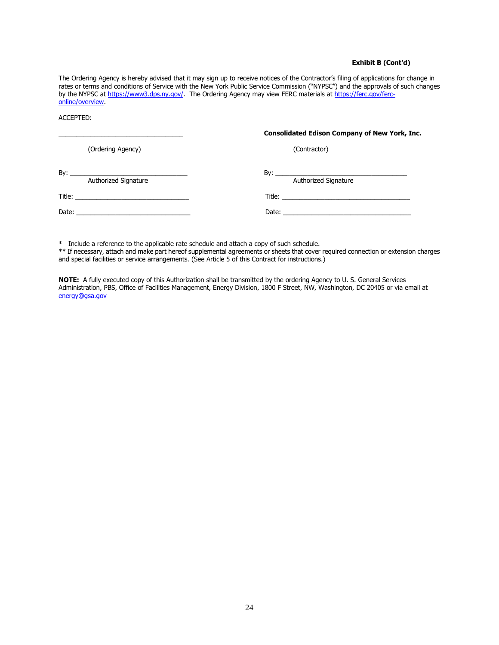#### **Exhibit B (Cont'd)**

The Ordering Agency is hereby advised that it may sign up to receive notices of the Contractor's filing of applications for change in rates or terms and conditions of Service with the New York Public Service Commission ("NYPSC") and the approvals of such changes by the NYPSC at [https://www3.dps.ny.gov/.](https://www3.dps.ny.gov/T) The Ordering Agency may view FERC materials at [https://ferc.gov/ferc](https://ferc.gov/ferc-online/overview)[online/overview.](https://ferc.gov/ferc-online/overview)

ACCEPTED:

|                                                  | <b>Consolidated Edison Company of New York, Inc.</b> |
|--------------------------------------------------|------------------------------------------------------|
| (Ordering Agency)                                | (Contractor)                                         |
| Authorized Signature                             | Authorized Signature                                 |
|                                                  |                                                      |
| Date: <u>___________________________________</u> |                                                      |
|                                                  |                                                      |

\* Include a reference to the applicable rate schedule and attach a copy of such schedule.

\*\* If necessary, attach and make part hereof supplemental agreements or sheets that cover required connection or extension charges and special facilities or service arrangements. (See Article 5 of this Contract for instructions.)

**NOTE:** A fully executed copy of this Authorization shall be transmitted by the ordering Agency to U. S. General Services Administration, PBS, Office of Facilities Management, Energy Division, 1800 F Street, NW, Washington, DC 20405 or via email at [energy@gsa.gov](file://///Ecoh2s-fs02.ent.ds.gsa.gov/pbs_user2$/KijuanaNYoung/energy@gsa.gov)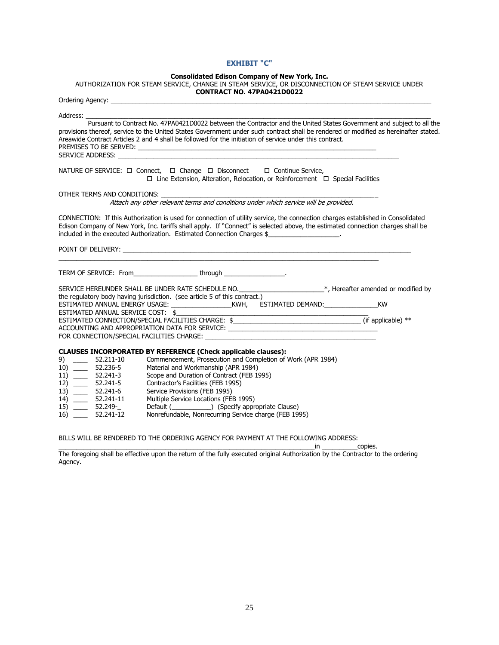## **EXHIBIT "C"**

#### **Consolidated Edison Company of New York, Inc.**

AUTHORIZATION FOR STEAM SERVICE, CHANGE IN STEAM SERVICE, OR DISCONNECTION OF STEAM SERVICE UNDER

|                                      | <b>CONTRACT NO. 47PA0421D0022</b>                                                                                                                                                                                                                                                                                                                                        |  |
|--------------------------------------|--------------------------------------------------------------------------------------------------------------------------------------------------------------------------------------------------------------------------------------------------------------------------------------------------------------------------------------------------------------------------|--|
|                                      | Ordering Agency: <u>contract and a series of the series of the series of the series of the series of the series of the series of the series of the series of the series of the series of the series of the series of the series </u>                                                                                                                                     |  |
|                                      |                                                                                                                                                                                                                                                                                                                                                                          |  |
|                                      | Pursuant to Contract No. 47PA0421D0022 between the Contractor and the United States Government and subject to all the<br>provisions thereof, service to the United States Government under such contract shall be rendered or modified as hereinafter stated.<br>Areawide Contract Articles 2 and 4 shall be followed for the initiation of service under this contract. |  |
|                                      | NATURE OF SERVICE: □ Connect, □ Change □ Disconnect □ Continue Service,<br>$\Box$ Line Extension, Alteration, Relocation, or Reinforcement $\Box$ Special Facilities                                                                                                                                                                                                     |  |
|                                      | OTHER TERMS AND CONDITIONS:<br>Attach any other relevant terms and conditions under which service will be provided.                                                                                                                                                                                                                                                      |  |
|                                      | CONNECTION: If this Authorization is used for connection of utility service, the connection charges established in Consolidated<br>Edison Company of New York, Inc. tariffs shall apply. If "Connect" is selected above, the estimated connection charges shall be<br>included in the executed Authorization. Estimated Connection Charges \$                            |  |
|                                      | POINT OF DELIVERY: Learn and the contract of the contract of the contract of the contract of the contract of the contract of the contract of the contract of the contract of the contract of the contract of the contract of t<br><u> 1989 - Johann Stoff, amerikansk politiker (d. 1989)</u>                                                                            |  |
|                                      | TERM OF SERVICE: From__________________________through _________________________                                                                                                                                                                                                                                                                                         |  |
|                                      | SERVICE HEREUNDER SHALL BE UNDER RATE SCHEDULE NO. _______________________*, Hereafter amended or modified by                                                                                                                                                                                                                                                            |  |
|                                      | the regulatory body having jurisdiction. (see article 5 of this contract.)                                                                                                                                                                                                                                                                                               |  |
|                                      |                                                                                                                                                                                                                                                                                                                                                                          |  |
|                                      | ESTIMATED ANNUAL SERVICE COST: \$                                                                                                                                                                                                                                                                                                                                        |  |
|                                      | ESTIMATED CONNECTION/SPECIAL FACILITIES CHARGE: \$________________________________(if applicable) **<br>ACCOUNTING AND APPROPRIATION DATA FOR SERVICE: __________________________________                                                                                                                                                                                |  |
|                                      |                                                                                                                                                                                                                                                                                                                                                                          |  |
|                                      |                                                                                                                                                                                                                                                                                                                                                                          |  |
|                                      | <b>CLAUSES INCORPORATED BY REFERENCE (Check applicable clauses):</b>                                                                                                                                                                                                                                                                                                     |  |
|                                      | Commencement, Prosecution and Completion of Work (APR 1984)                                                                                                                                                                                                                                                                                                              |  |
| 10) 52.236-5                         | Material and Workmanship (APR 1984)                                                                                                                                                                                                                                                                                                                                      |  |
| $11)$ 52.241-3                       | Scope and Duration of Contract (FEB 1995)                                                                                                                                                                                                                                                                                                                                |  |
| 12) 52.241-5                         | Contractor's Facilities (FEB 1995)                                                                                                                                                                                                                                                                                                                                       |  |
| 13) 52.241-6                         | Service Provisions (FEB 1995)                                                                                                                                                                                                                                                                                                                                            |  |
| 14) 52.241-11                        | Multiple Service Locations (FEB 1995)                                                                                                                                                                                                                                                                                                                                    |  |
| 15) ____ 52.249-_<br>$16)$ 52.241-12 | Nonrefundable, Nonrecurring Service charge (FEB 1995)                                                                                                                                                                                                                                                                                                                    |  |
|                                      |                                                                                                                                                                                                                                                                                                                                                                          |  |

BILLS WILL BE RENDERED TO THE ORDERING AGENCY FOR PAYMENT AT THE FOLLOWING ADDRESS:

 $\_$ in  $\_$   $\_$  copies.

The foregoing shall be effective upon the return of the fully executed original Authorization by the Contractor to the ordering Agency.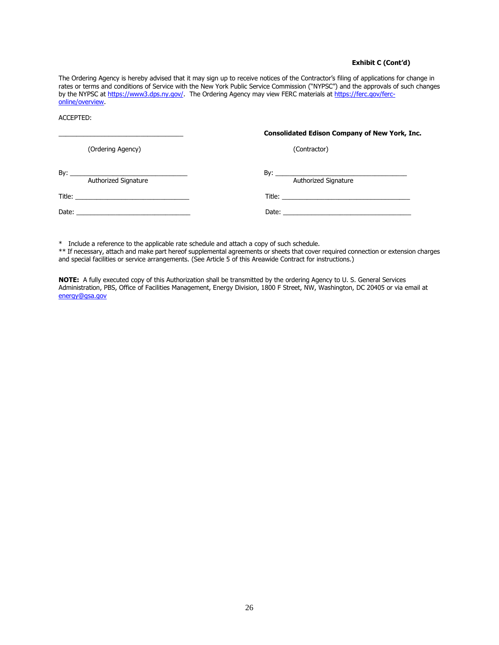#### **Exhibit C (Cont'd)**

The Ordering Agency is hereby advised that it may sign up to receive notices of the Contractor's filing of applications for change in rates or terms and conditions of Service with the New York Public Service Commission ("NYPSC") and the approvals of such changes by the NYPSC at [https://www3.dps.ny.gov/.](https://www3.dps.ny.gov/) The Ordering Agency may view FERC materials at [https://ferc.gov/ferc](https://ferc.gov/ferc-online/overview)[online/overview.](https://ferc.gov/ferc-online/overview)

ACCEPTED:

|                      | <b>Consolidated Edison Company of New York, Inc.</b> |
|----------------------|------------------------------------------------------|
| (Ordering Agency)    | (Contractor)                                         |
| Authorized Signature | Authorized Signature                                 |
|                      |                                                      |
|                      |                                                      |
|                      |                                                      |

\* Include a reference to the applicable rate schedule and attach a copy of such schedule.

\*\* If necessary, attach and make part hereof supplemental agreements or sheets that cover required connection or extension charges and special facilities or service arrangements. (See Article 5 of this Areawide Contract for instructions.)

**NOTE:** A fully executed copy of this Authorization shall be transmitted by the ordering Agency to U. S. General Services Administration, PBS, Office of Facilities Management, Energy Division, 1800 F Street, NW, Washington, DC 20405 or via email at [energy@gsa.gov](file://///Ecoh2s-fs02.ent.ds.gsa.gov/pbs_user2$/KijuanaNYoung/energy@gsa.gov)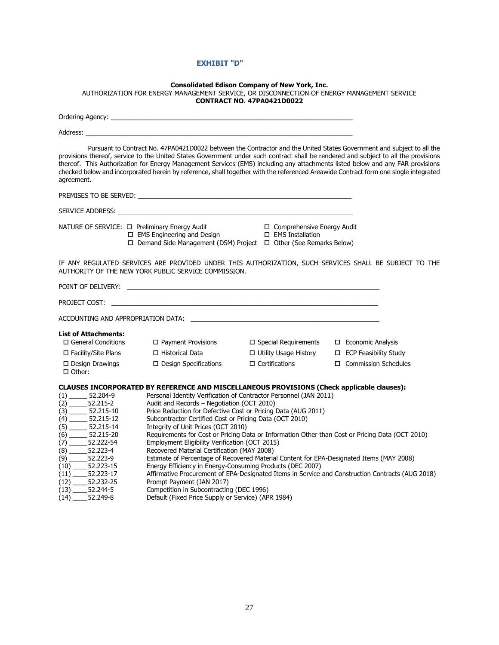# **EXHIBIT "D"**

|                                                                                                                                                                                                                               | AUTHORIZATION FOR ENERGY MANAGEMENT SERVICE, OR DISCONNECTION OF ENERGY MANAGEMENT SERVICE                                                                                                                                                 | <b>Consolidated Edison Company of New York, Inc.</b>                                                                               |                                                                                                                                                                                                                                                                                                                                                                                                                                                                                                                                       |
|-------------------------------------------------------------------------------------------------------------------------------------------------------------------------------------------------------------------------------|--------------------------------------------------------------------------------------------------------------------------------------------------------------------------------------------------------------------------------------------|------------------------------------------------------------------------------------------------------------------------------------|---------------------------------------------------------------------------------------------------------------------------------------------------------------------------------------------------------------------------------------------------------------------------------------------------------------------------------------------------------------------------------------------------------------------------------------------------------------------------------------------------------------------------------------|
|                                                                                                                                                                                                                               |                                                                                                                                                                                                                                            | <b>CONTRACT NO. 47PA0421D0022</b>                                                                                                  |                                                                                                                                                                                                                                                                                                                                                                                                                                                                                                                                       |
|                                                                                                                                                                                                                               | Ordering Agency: et al. 2014 and 2014 and 2014 and 2014 and 2014 and 2014 and 2014 and 2014 and 2014 and 2014                                                                                                                              |                                                                                                                                    |                                                                                                                                                                                                                                                                                                                                                                                                                                                                                                                                       |
|                                                                                                                                                                                                                               | Address: the contract of the contract of the contract of the contract of the contract of the contract of the contract of the contract of the contract of the contract of the contract of the contract of the contract of the c             |                                                                                                                                    |                                                                                                                                                                                                                                                                                                                                                                                                                                                                                                                                       |
| agreement.                                                                                                                                                                                                                    |                                                                                                                                                                                                                                            |                                                                                                                                    | Pursuant to Contract No. 47PA0421D0022 between the Contractor and the United States Government and subject to all the<br>provisions thereof, service to the United States Government under such contract shall be rendered and subject to all the provisions<br>thereof. This Authorization for Energy Management Services (EMS) including any attachments listed below and any FAR provisions<br>checked below and incorporated herein by reference, shall together with the referenced Areawide Contract form one single integrated |
|                                                                                                                                                                                                                               | PREMISES TO BE SERVED: Network and the service of the service of the service of the service of the service of the service of the service of the service of the service of the service of the service of the service of the ser             |                                                                                                                                    |                                                                                                                                                                                                                                                                                                                                                                                                                                                                                                                                       |
|                                                                                                                                                                                                                               | SERVICE ADDRESS: New York Service and Service and Service and Service and Service and Service and Service and                                                                                                                              |                                                                                                                                    |                                                                                                                                                                                                                                                                                                                                                                                                                                                                                                                                       |
| NATURE OF SERVICE: □ Preliminary Energy Audit                                                                                                                                                                                 | □ EMS Engineering and Design<br>□ Demand Side Management (DSM) Project □ Other (See Remarks Below)                                                                                                                                         | □ Comprehensive Energy Audit<br>$\square$ EMS Installation                                                                         |                                                                                                                                                                                                                                                                                                                                                                                                                                                                                                                                       |
|                                                                                                                                                                                                                               | AUTHORITY OF THE NEW YORK PUBLIC SERVICE COMMISSION.                                                                                                                                                                                       |                                                                                                                                    | IF ANY REGULATED SERVICES ARE PROVIDED UNDER THIS AUTHORIZATION, SUCH SERVICES SHALL BE SUBJECT TO THE                                                                                                                                                                                                                                                                                                                                                                                                                                |
|                                                                                                                                                                                                                               |                                                                                                                                                                                                                                            |                                                                                                                                    |                                                                                                                                                                                                                                                                                                                                                                                                                                                                                                                                       |
| PROJECT COST: THE STATE OF THE STATE OF THE STATE OF THE STATE OF THE STATE OF THE STATE OF THE STATE OF THE STATE OF THE STATE OF THE STATE OF THE STATE OF THE STATE OF THE STATE OF THE STATE OF THE STATE OF THE STATE OF |                                                                                                                                                                                                                                            |                                                                                                                                    |                                                                                                                                                                                                                                                                                                                                                                                                                                                                                                                                       |
|                                                                                                                                                                                                                               | ACCOUNTING AND APPROPRIATION DATA: NAMEL AND THE STATE OF STATES AND APPROPRIATION DATA:                                                                                                                                                   |                                                                                                                                    |                                                                                                                                                                                                                                                                                                                                                                                                                                                                                                                                       |
| <b>List of Attachments:</b>                                                                                                                                                                                                   |                                                                                                                                                                                                                                            |                                                                                                                                    |                                                                                                                                                                                                                                                                                                                                                                                                                                                                                                                                       |
| $\Box$ General Conditions                                                                                                                                                                                                     | □ Payment Provisions                                                                                                                                                                                                                       | $\Box$ Special Requirements                                                                                                        | □ Economic Analysis                                                                                                                                                                                                                                                                                                                                                                                                                                                                                                                   |
| □ Facility/Site Plans                                                                                                                                                                                                         | □ Historical Data                                                                                                                                                                                                                          | $\Box$ Utility Usage History                                                                                                       | □ ECP Feasibility Study                                                                                                                                                                                                                                                                                                                                                                                                                                                                                                               |
| $\Box$ Design Drawings<br>$\Box$ Other:                                                                                                                                                                                       | □ Design Specifications                                                                                                                                                                                                                    | $\Box$ Certifications                                                                                                              | □ Commission Schedules                                                                                                                                                                                                                                                                                                                                                                                                                                                                                                                |
| $(1)$ 52.204-9<br>$(2)$ 52.215-2                                                                                                                                                                                              | CLAUSES INCORPORATED BY REFERENCE AND MISCELLANEOUS PROVISIONS (Check applicable clauses):<br>Audit and Records - Negotiation (OCT 2010)<br>Subcontractor Certified Cost or Pricing Data (OCT 2010)<br>Integrity of Unit Prices (OCT 2010) | Personal Identity Verification of Contractor Personnel (JAN 2011)<br>Price Reduction for Defective Cost or Pricing Data (AUG 2011) |                                                                                                                                                                                                                                                                                                                                                                                                                                                                                                                                       |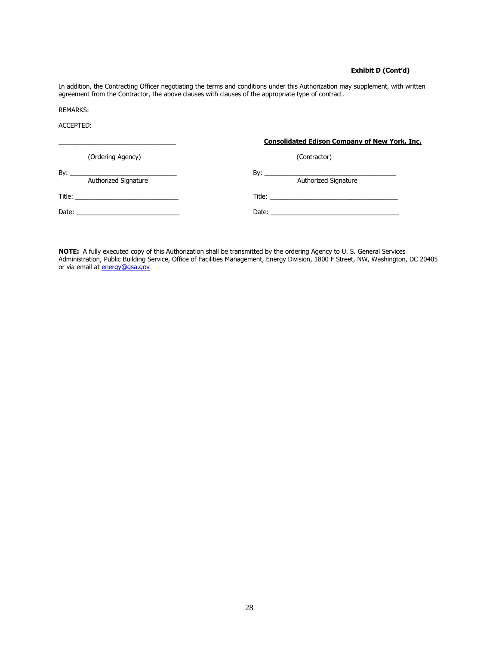#### **Exhibit D (Cont'd)**

In addition, the Contracting Officer negotiating the terms and conditions under this Authorization may supplement, with written agreement from the Contractor, the above clauses with clauses of the appropriate type of contract.

REMARKS:

ACCEPTED:

|                                                     | <b>Consolidated Edison Company of New York, Inc.</b> |
|-----------------------------------------------------|------------------------------------------------------|
| (Ordering Agency)                                   | (Contractor)                                         |
| Authorized Signature                                | Authorized Signature                                 |
| Title: ___ <b>____________________________</b> ____ |                                                      |
| Date: <u>_________________________________</u>      |                                                      |
|                                                     |                                                      |

**NOTE:** A fully executed copy of this Authorization shall be transmitted by the ordering Agency to U. S. General Services Administration, Public Building Service, Office of Facilities Management, Energy Division, 1800 F Street, NW, Washington, DC 20405 or via email at **energy@gsa.gov**